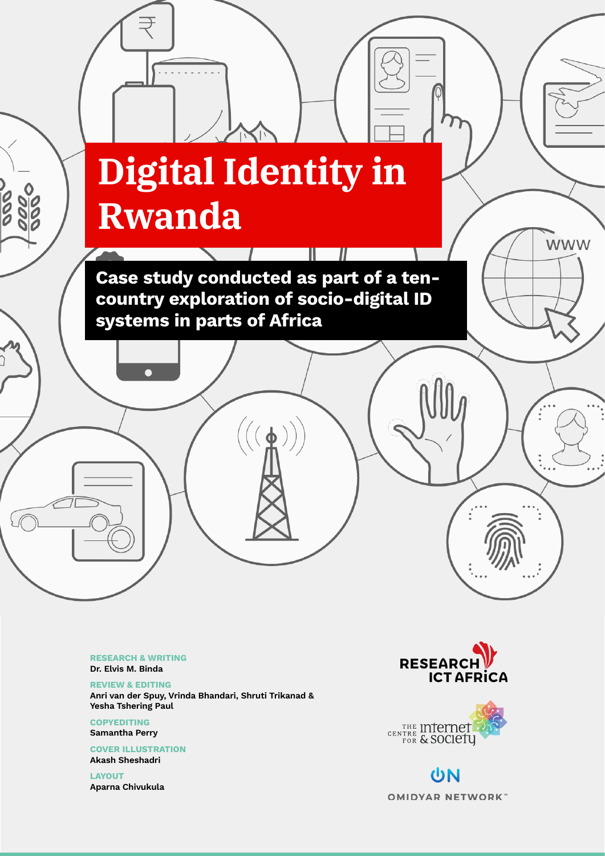# **Digital Identity in Rwanda**

 $\sqrt{2}$  Rwanda 1  $\sqrt{2}$   $\sqrt{2}$   $\sqrt{2}$   $\sqrt{2}$   $\sqrt{2}$   $\sqrt{2}$   $\sqrt{2}$   $\sqrt{2}$   $\sqrt{2}$   $\sqrt{2}$   $\sqrt{2}$   $\sqrt{2}$   $\sqrt{2}$   $\sqrt{2}$   $\sqrt{2}$   $\sqrt{2}$   $\sqrt{2}$   $\sqrt{2}$   $\sqrt{2}$   $\sqrt{2}$   $\sqrt{2}$   $\sqrt{2}$   $\sqrt{2}$   $\sqrt{2}$   $\sqrt{2}$   $\sqrt{$ 

π

Case study conducted as part of a tencountry exploration of socio-digital ID systems in parts of Africa

 $(\phi)$ 

RESEARCH & WRITING Dr. Elvis M. Binda

ooooo<br>aaaoo

REVIEW & EDITING Anri van der Spuy, Vrinda Bhandari, Shruti Trikanad & Yesha Tshering Paul

**COPYEDITING** Samantha Perry

COVER ILLUSTRATION Akash Sheshadri

LAYOUT Aparna Chivukula



**WWW** 



UN **OMIDYAR NETWORK**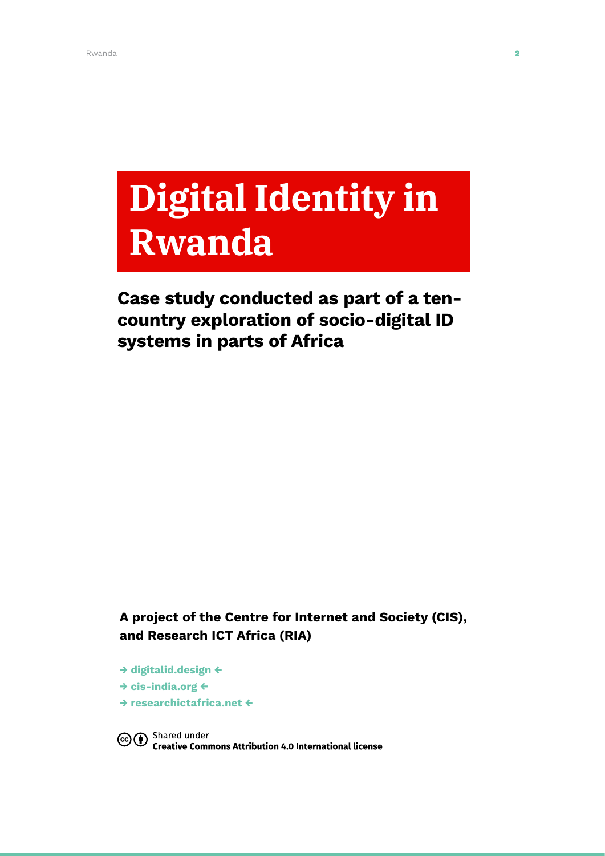# **Digital Identity in Rwanda**

# Case study conducted as part of a tencountry exploration of socio-digital ID systems in parts of Africa

### A project of the Centre for Internet and Society (CIS), and Research ICT Africa (RIA)

- → [digitalid.design](http://digitalid.design) ←
- → [cis-india.org](http://cis-india.org) ←
- → [researchictafrica.net](http://researchictafrica.net) ←

Co <a>G</a>
Shared under</a>
nternational license</a>
Shared under</a>
nternational license</a>
nternational license</a>
nternational license</a>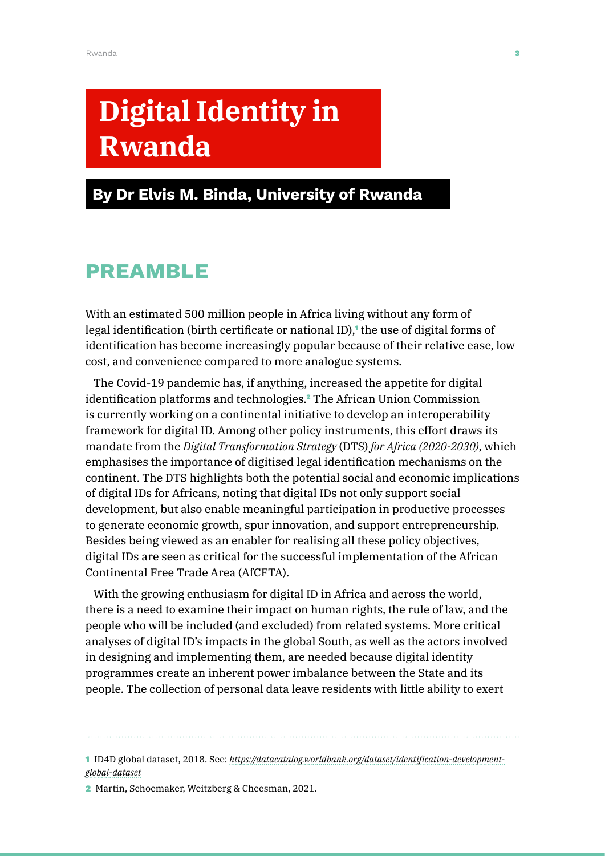# **Digital Identity in Rwanda**

# By Dr Elvis M. Binda, University of Rwanda

# PREAMBLE

With an estimated 500 million people in Africa living without any form of legal identification (birth certificate or national ID),<sup>1</sup> the use of digital forms of identification has become increasingly popular because of their relative ease, low cost, and convenience compared to more analogue systems.

The Covid-19 pandemic has, if anything, increased the appetite for digital identification platforms and technologies.<sup>2</sup> The African Union Commission is currently working on a continental initiative to develop an interoperability framework for digital ID. Among other policy instruments, this effort draws its mandate from the *Digital Transformation Strategy* (DTS) *for Africa (2020-2030)*, which emphasises the importance of digitised legal identification mechanisms on the continent. The DTS highlights both the potential social and economic implications of digital IDs for Africans, noting that digital IDs not only support social development, but also enable meaningful participation in productive processes to generate economic growth, spur innovation, and support entrepreneurship. Besides being viewed as an enabler for realising all these policy objectives, digital IDs are seen as critical for the successful implementation of the African Continental Free Trade Area (AfCFTA).

With the growing enthusiasm for digital ID in Africa and across the world, there is a need to examine their impact on human rights, the rule of law, and the people who will be included (and excluded) from related systems. More critical analyses of digital ID's impacts in the global South, as well as the actors involved in designing and implementing them, are needed because digital identity programmes create an inherent power imbalance between the State and its people. The collection of personal data leave residents with little ability to exert

1 ID4D global dataset, 2018. See: *[https://datacatalog.worldbank.org/dataset/identification-development](https://datacatalog.worldbank.org/dataset/identification-development-global-dataset)[global-dataset](https://datacatalog.worldbank.org/dataset/identification-development-global-dataset)*

2 Martin, Schoemaker, Weitzberg & Cheesman, 2021.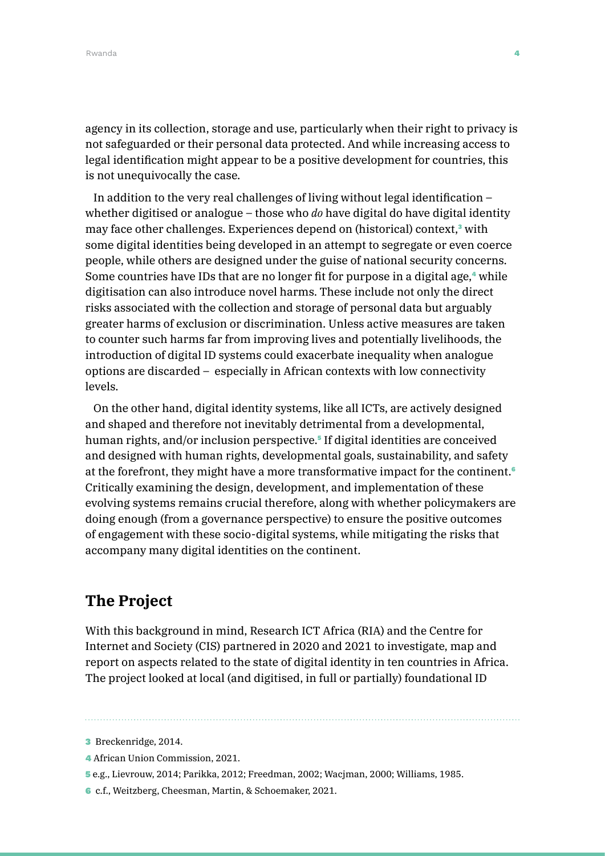agency in its collection, storage and use, particularly when their right to privacy is not safeguarded or their personal data protected. And while increasing access to legal identification might appear to be a positive development for countries, this is not unequivocally the case.

In addition to the very real challenges of living without legal identification – whether digitised or analogue – those who *do* have digital do have digital identity may face other challenges. Experiences depend on (historical) context,<sup>3</sup> with some digital identities being developed in an attempt to segregate or even coerce people, while others are designed under the guise of national security concerns. Some countries have IDs that are no longer fit for purpose in a digital age,<sup>4</sup> while digitisation can also introduce novel harms. These include not only the direct risks associated with the collection and storage of personal data but arguably greater harms of exclusion or discrimination. Unless active measures are taken to counter such harms far from improving lives and potentially livelihoods, the introduction of digital ID systems could exacerbate inequality when analogue options are discarded – especially in African contexts with low connectivity levels.

On the other hand, digital identity systems, like all ICTs, are actively designed and shaped and therefore not inevitably detrimental from a developmental, human rights, and/or inclusion perspective.<sup>5</sup> If digital identities are conceived and designed with human rights, developmental goals, sustainability, and safety at the forefront, they might have a more transformative impact for the continent.<sup>6</sup> Critically examining the design, development, and implementation of these evolving systems remains crucial therefore, along with whether policymakers are doing enough (from a governance perspective) to ensure the positive outcomes of engagement with these socio-digital systems, while mitigating the risks that accompany many digital identities on the continent.

# **The Project**

With this background in mind, Research ICT Africa (RIA) and the Centre for Internet and Society (CIS) partnered in 2020 and 2021 to investigate, map and report on aspects related to the state of digital identity in ten countries in Africa. The project looked at local (and digitised, in full or partially) foundational ID

- 4 African Union Commission, 2021.
- 5 e.g., Lievrouw, 2014; Parikka, 2012; Freedman, 2002; Wacjman, 2000; Williams, 1985.
- 6 c.f., Weitzberg, Cheesman, Martin, & Schoemaker, 2021.

<sup>3</sup> Breckenridge, 2014.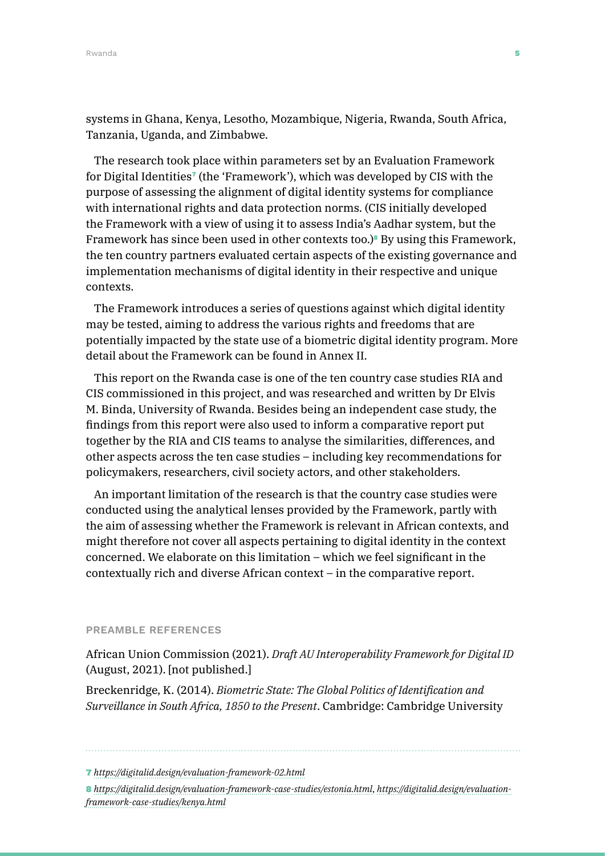systems in Ghana, Kenya, Lesotho, Mozambique, Nigeria, Rwanda, South Africa, Tanzania, Uganda, and Zimbabwe.

The research took place within parameters set by an Evaluation Framework for Digital Identities<sup> $\tau$ </sup> (the 'Framework'), which was developed by CIS with the purpose of assessing the alignment of digital identity systems for compliance with international rights and data protection norms. (CIS initially developed the Framework with a view of using it to assess India's Aadhar system, but the Framework has since been used in other contexts too.)<sup>8</sup> By using this Framework, the ten country partners evaluated certain aspects of the existing governance and implementation mechanisms of digital identity in their respective and unique contexts.

The Framework introduces a series of questions against which digital identity may be tested, aiming to address the various rights and freedoms that are potentially impacted by the state use of a biometric digital identity program. More detail about the Framework can be found in Annex II.

This report on the Rwanda case is one of the ten country case studies RIA and CIS commissioned in this project, and was researched and written by Dr Elvis M. Binda, University of Rwanda. Besides being an independent case study, the findings from this report were also used to inform a comparative report put together by the RIA and CIS teams to analyse the similarities, differences, and other aspects across the ten case studies – including key recommendations for policymakers, researchers, civil society actors, and other stakeholders.

An important limitation of the research is that the country case studies were conducted using the analytical lenses provided by the Framework, partly with the aim of assessing whether the Framework is relevant in African contexts, and might therefore not cover all aspects pertaining to digital identity in the context concerned. We elaborate on this limitation – which we feel significant in the contextually rich and diverse African context – in the comparative report.

#### PREAMBLE REFERENCES

African Union Commission (2021). *Draft AU Interoperability Framework for Digital ID* (August, 2021). [not published.]

Breckenridge, K. (2014). *Biometric State: The Global Politics of Identification and Surveillance in South Africa, 1850 to the Present*. Cambridge: Cambridge University

<sup>7</sup> *<https://digitalid.design/evaluation-framework-02.html>*

<sup>8</sup> *<https://digitalid.design/evaluation-framework-case-studies/estonia.html>*, *[https://digitalid.design/evaluation](https://digitalid.design/evaluation-framework-case-studies/kenya.html)[framework-case-studies/kenya.html](https://digitalid.design/evaluation-framework-case-studies/kenya.html)*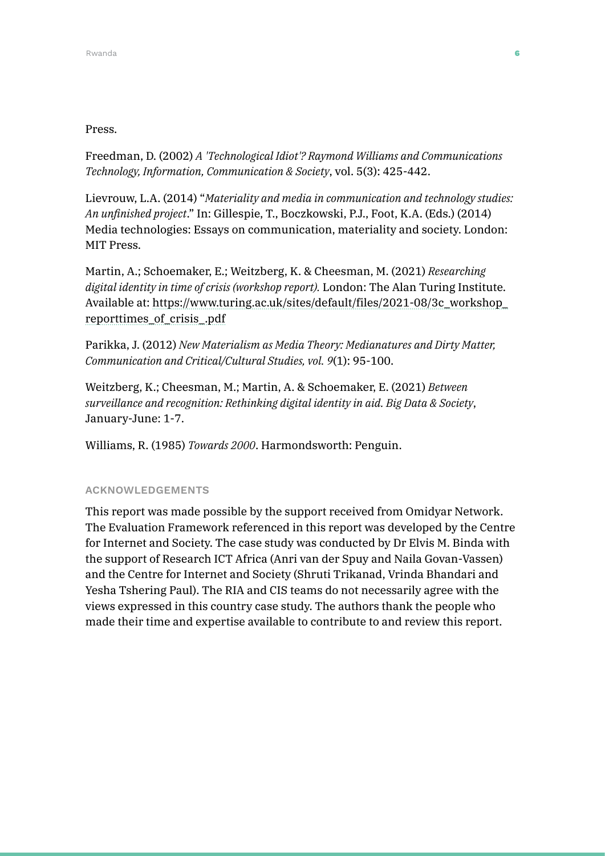### Press.

Freedman, D. (2002) *A 'Technological Idiot'? Raymond Williams and Communications Technology, Information, Communication & Society*, vol. 5(3): 425-442.

Lievrouw, L.A. (2014) "*Materiality and media in communication and technology studies: An unfinished project*." In: Gillespie, T., Boczkowski, P.J., Foot, K.A. (Eds.) (2014) Media technologies: Essays on communication, materiality and society. London: MIT Press.

Martin, A.; Schoemaker, E.; Weitzberg, K. & Cheesman, M. (2021) *Researching digital identity in time of crisis (workshop report).* London: The Alan Turing Institute. Available at: [https://www.turing.ac.uk/sites/default/files/2021-08/3c\\_workshop\\_](https://www.turing.ac.uk/sites/default/files/2021-08/3c_workshop_reporttimes_of_crisis_.pdf) [reporttimes\\_of\\_crisis\\_.pdf](https://www.turing.ac.uk/sites/default/files/2021-08/3c_workshop_reporttimes_of_crisis_.pdf)

Parikka, J. (2012) *New Materialism as Media Theory: Medianatures and Dirty Matter, Communication and Critical/Cultural Studies, vol. 9*(1): 95-100.

Weitzberg, K.; Cheesman, M.; Martin, A. & Schoemaker, E. (2021) *Between surveillance and recognition: Rethinking digital identity in aid. Big Data & Society*, January-June: 1-7.

Williams, R. (1985) *Towards 2000*. Harmondsworth: Penguin.

### ACKNOWLEDGEMENTS

This report was made possible by the support received from Omidyar Network. The Evaluation Framework referenced in this report was developed by the Centre for Internet and Society. The case study was conducted by Dr Elvis M. Binda with the support of Research ICT Africa (Anri van der Spuy and Naila Govan-Vassen) and the Centre for Internet and Society (Shruti Trikanad, Vrinda Bhandari and Yesha Tshering Paul). The RIA and CIS teams do not necessarily agree with the views expressed in this country case study. The authors thank the people who made their time and expertise available to contribute to and review this report.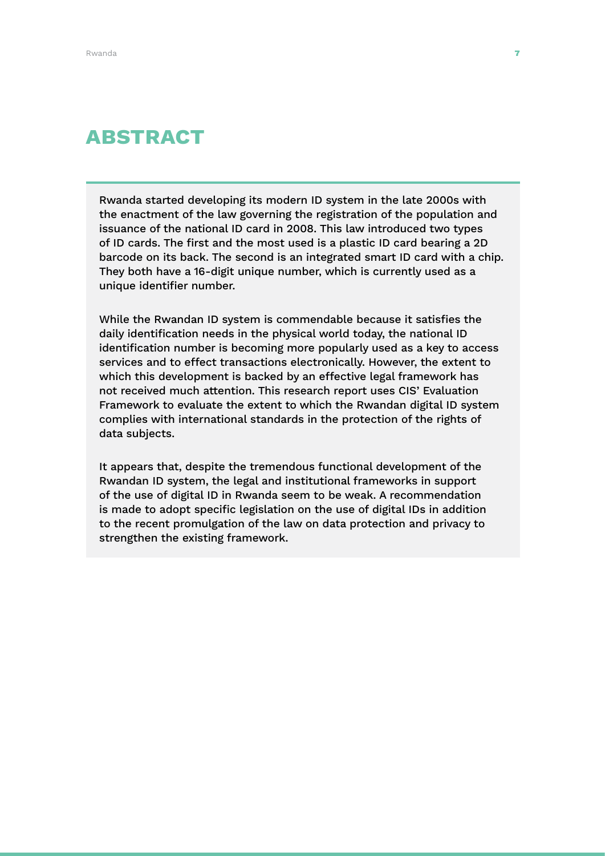# ABSTRACT

Rwanda started developing its modern ID system in the late 2000s with the enactment of the law governing the registration of the population and issuance of the national ID card in 2008. This law introduced two types of ID cards. The first and the most used is a plastic ID card bearing a 2D barcode on its back. The second is an integrated smart ID card with a chip. They both have a 16-digit unique number, which is currently used as a unique identifier number.

While the Rwandan ID system is commendable because it satisfies the daily identification needs in the physical world today, the national ID identification number is becoming more popularly used as a key to access services and to effect transactions electronically. However, the extent to which this development is backed by an effective legal framework has not received much attention. This research report uses CIS' Evaluation Framework to evaluate the extent to which the Rwandan digital ID system complies with international standards in the protection of the rights of data subjects.

It appears that, despite the tremendous functional development of the Rwandan ID system, the legal and institutional frameworks in support of the use of digital ID in Rwanda seem to be weak. A recommendation is made to adopt specific legislation on the use of digital IDs in addition to the recent promulgation of the law on data protection and privacy to strengthen the existing framework.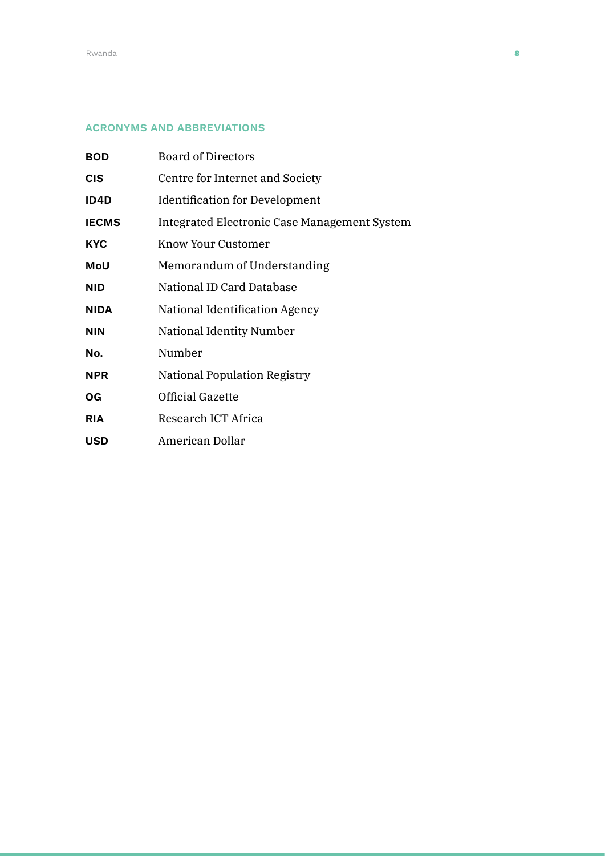### ACRONYMS AND ABBREVIATIONS

| <b>BOD</b>   | <b>Board of Directors</b>                    |
|--------------|----------------------------------------------|
| <b>CIS</b>   | Centre for Internet and Society              |
| ID4D         | <b>Identification for Development</b>        |
| <b>IECMS</b> | Integrated Electronic Case Management System |
| <b>KYC</b>   | Know Your Customer                           |
| MoU          | Memorandum of Understanding                  |
| <b>NID</b>   | National ID Card Database                    |
| <b>NIDA</b>  | National Identification Agency               |
| <b>NIN</b>   | National Identity Number                     |
| No.          | Number                                       |
| <b>NPR</b>   | <b>National Population Registry</b>          |
| OG           | Official Gazette                             |
| <b>RIA</b>   | Research ICT Africa                          |
| USD          | American Dollar                              |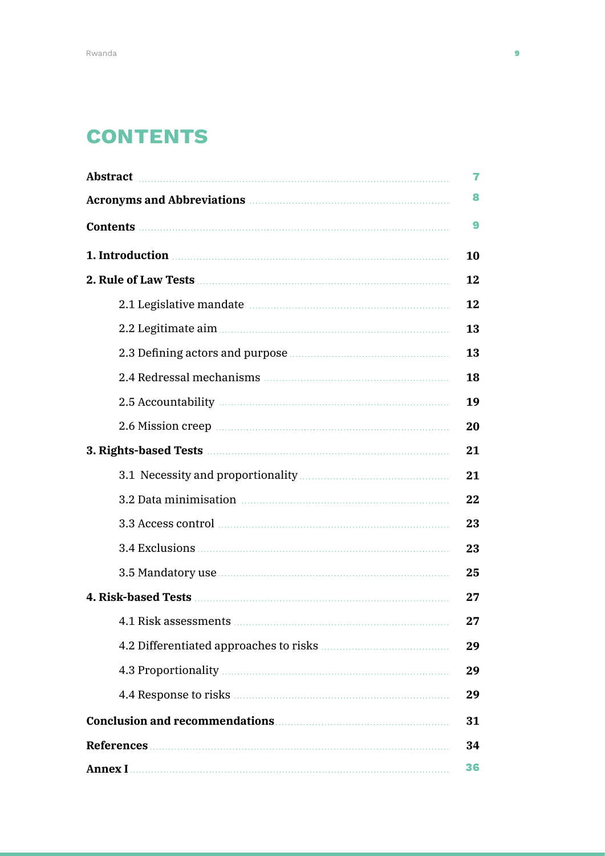# **CONTENTS**

| Abstract material and a series of the series of the series of the series of the series of the series of the series of the series of the series of the series of the series of the series of the series of the series of the se      | 7  |
|-------------------------------------------------------------------------------------------------------------------------------------------------------------------------------------------------------------------------------------|----|
| Acronyms and Abbreviations <b>Executive Services</b> Acronyms and Abbreviations                                                                                                                                                     |    |
|                                                                                                                                                                                                                                     | 9  |
| 1. Introduction <b>contracts</b> and the contract of the contract of the contract of the contract of the contract of the contract of the contract of the contract of the contract of the contract of the contract of the contract o |    |
|                                                                                                                                                                                                                                     |    |
|                                                                                                                                                                                                                                     | 12 |
|                                                                                                                                                                                                                                     | 13 |
|                                                                                                                                                                                                                                     | 13 |
|                                                                                                                                                                                                                                     | 18 |
|                                                                                                                                                                                                                                     | 19 |
|                                                                                                                                                                                                                                     | 20 |
|                                                                                                                                                                                                                                     |    |
|                                                                                                                                                                                                                                     | 21 |
|                                                                                                                                                                                                                                     | 22 |
|                                                                                                                                                                                                                                     | 23 |
|                                                                                                                                                                                                                                     | 23 |
|                                                                                                                                                                                                                                     | 25 |
|                                                                                                                                                                                                                                     |    |
|                                                                                                                                                                                                                                     | 27 |
|                                                                                                                                                                                                                                     | 29 |
|                                                                                                                                                                                                                                     | 29 |
|                                                                                                                                                                                                                                     | 29 |
|                                                                                                                                                                                                                                     |    |
|                                                                                                                                                                                                                                     |    |
|                                                                                                                                                                                                                                     |    |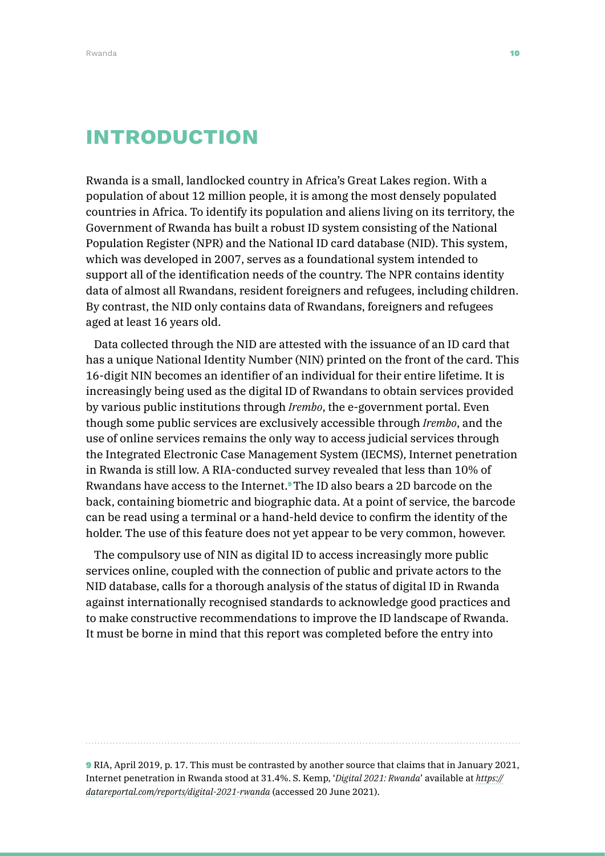# INTRODUCTION

Rwanda is a small, landlocked country in Africa's Great Lakes region. With a population of about 12 million people, it is among the most densely populated countries in Africa. To identify its population and aliens living on its territory, the Government of Rwanda has built a robust ID system consisting of the National Population Register (NPR) and the National ID card database (NID). This system, which was developed in 2007, serves as a foundational system intended to support all of the identification needs of the country. The NPR contains identity data of almost all Rwandans, resident foreigners and refugees, including children. By contrast, the NID only contains data of Rwandans, foreigners and refugees aged at least 16 years old.

Data collected through the NID are attested with the issuance of an ID card that has a unique National Identity Number (NIN) printed on the front of the card. This 16-digit NIN becomes an identifier of an individual for their entire lifetime. It is increasingly being used as the digital ID of Rwandans to obtain services provided by various public institutions through *Irembo*, the e-government portal. Even though some public services are exclusively accessible through *Irembo*, and the use of online services remains the only way to access judicial services through the Integrated Electronic Case Management System (IECMS), Internet penetration in Rwanda is still low. A RIA-conducted survey revealed that less than 10% of Rwandans have access to the Internet.9 The ID also bears a 2D barcode on the back, containing biometric and biographic data. At a point of service, the barcode can be read using a terminal or a hand-held device to confirm the identity of the holder. The use of this feature does not yet appear to be very common, however.

The compulsory use of NIN as digital ID to access increasingly more public services online, coupled with the connection of public and private actors to the NID database, calls for a thorough analysis of the status of digital ID in Rwanda against internationally recognised standards to acknowledge good practices and to make constructive recommendations to improve the ID landscape of Rwanda. It must be borne in mind that this report was completed before the entry into

9 RIA, April 2019, p. 17. This must be contrasted by another source that claims that in January 2021, Internet penetration in Rwanda stood at 31.4%. S. Kemp, '*Digital 2021: Rwanda*' available at *[https://](https://datareportal.com/reports/digital-2021-rwanda) [datareportal.com/reports/digital-2021-rwanda](https://datareportal.com/reports/digital-2021-rwanda)* (accessed 20 June 2021).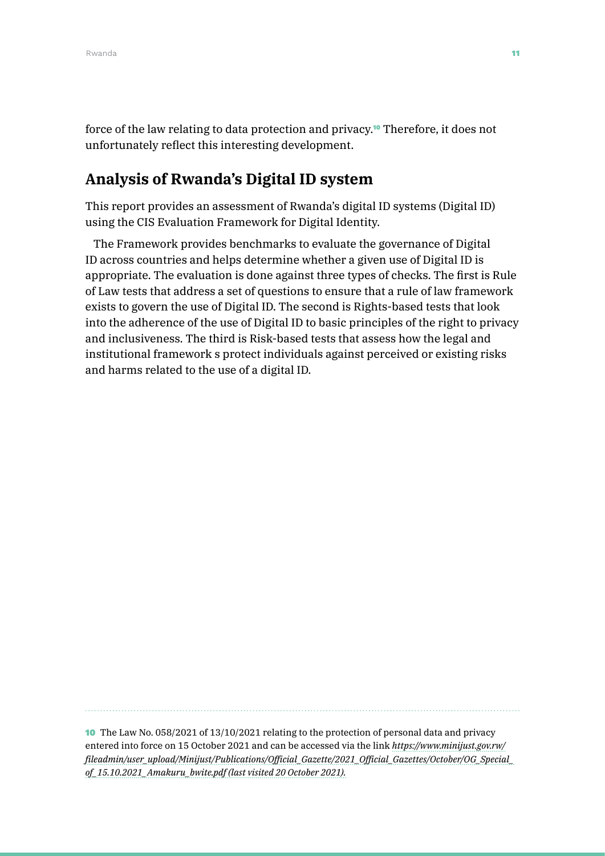force of the law relating to data protection and privacy.<sup>10</sup> Therefore, it does not unfortunately reflect this interesting development.

# **Analysis of Rwanda's Digital ID system**

This report provides an assessment of Rwanda's digital ID systems (Digital ID) using the CIS Evaluation Framework for Digital Identity.

The Framework provides benchmarks to evaluate the governance of Digital ID across countries and helps determine whether a given use of Digital ID is appropriate. The evaluation is done against three types of checks. The first is Rule of Law tests that address a set of questions to ensure that a rule of law framework exists to govern the use of Digital ID. The second is Rights-based tests that look into the adherence of the use of Digital ID to basic principles of the right to privacy and inclusiveness. The third is Risk-based tests that assess how the legal and institutional framework s protect individuals against perceived or existing risks and harms related to the use of a digital ID.

10 The Law No. 058/2021 of 13/10/2021 relating to the protection of personal data and privacy entered into force on 15 October 2021 and can be accessed via the link *[https://www.minijust.gov.rw/](https://www.minijust.gov.rw/fileadmin/user_upload/Minijust/Publications/Official_Gazette/2021_Offici) [fileadmin/user\\_upload/Minijust/Publications/Official\\_Gazette/2021\\_Official\\_Gazettes/October/OG\\_Special\\_](https://www.minijust.gov.rw/fileadmin/user_upload/Minijust/Publications/Official_Gazette/2021_Offici) [of\\_15.10.2021\\_Amakuru\\_bwite.pdf \(last visited 20 October 2021\).](https://www.minijust.gov.rw/fileadmin/user_upload/Minijust/Publications/Official_Gazette/2021_Offici)*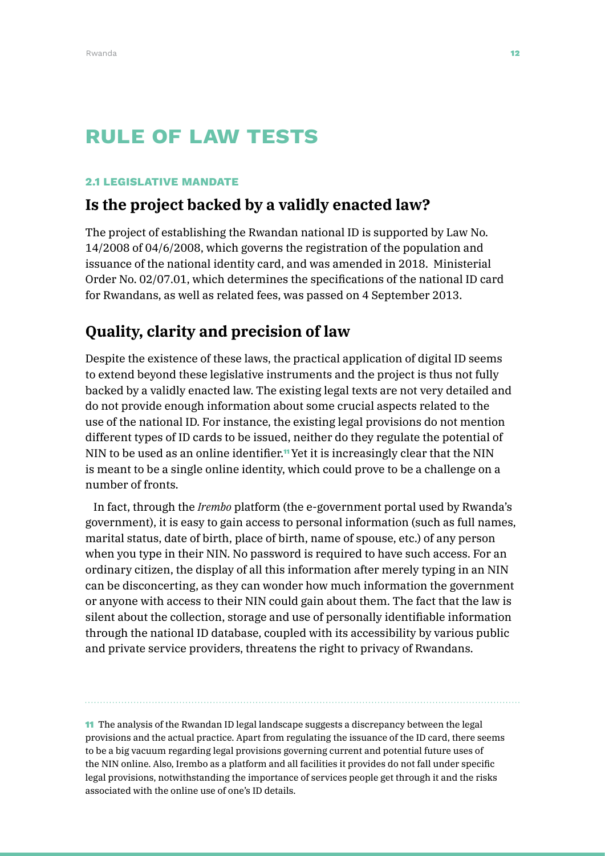# RULE OF LAW TESTS

#### 2.1 LEGISLATIVE MANDATE

### **Is the project backed by a validly enacted law?**

The project of establishing the Rwandan national ID is supported by Law No. 14/2008 of 04/6/2008, which governs the registration of the population and issuance of the national identity card, and was amended in 2018. Ministerial Order No. 02/07.01, which determines the specifications of the national ID card for Rwandans, as well as related fees, was passed on 4 September 2013.

# **Quality, clarity and precision of law**

Despite the existence of these laws, the practical application of digital ID seems to extend beyond these legislative instruments and the project is thus not fully backed by a validly enacted law. The existing legal texts are not very detailed and do not provide enough information about some crucial aspects related to the use of the national ID. For instance, the existing legal provisions do not mention different types of ID cards to be issued, neither do they regulate the potential of NIN to be used as an online identifier.<sup>11</sup> Yet it is increasingly clear that the NIN is meant to be a single online identity, which could prove to be a challenge on a number of fronts.

In fact, through the *Irembo* platform (the e-government portal used by Rwanda's government), it is easy to gain access to personal information (such as full names, marital status, date of birth, place of birth, name of spouse, etc.) of any person when you type in their NIN. No password is required to have such access. For an ordinary citizen, the display of all this information after merely typing in an NIN can be disconcerting, as they can wonder how much information the government or anyone with access to their NIN could gain about them. The fact that the law is silent about the collection, storage and use of personally identifiable information through the national ID database, coupled with its accessibility by various public and private service providers, threatens the right to privacy of Rwandans.

11 The analysis of the Rwandan ID legal landscape suggests a discrepancy between the legal provisions and the actual practice. Apart from regulating the issuance of the ID card, there seems to be a big vacuum regarding legal provisions governing current and potential future uses of the NIN online. Also, Irembo as a platform and all facilities it provides do not fall under specific legal provisions, notwithstanding the importance of services people get through it and the risks associated with the online use of one's ID details.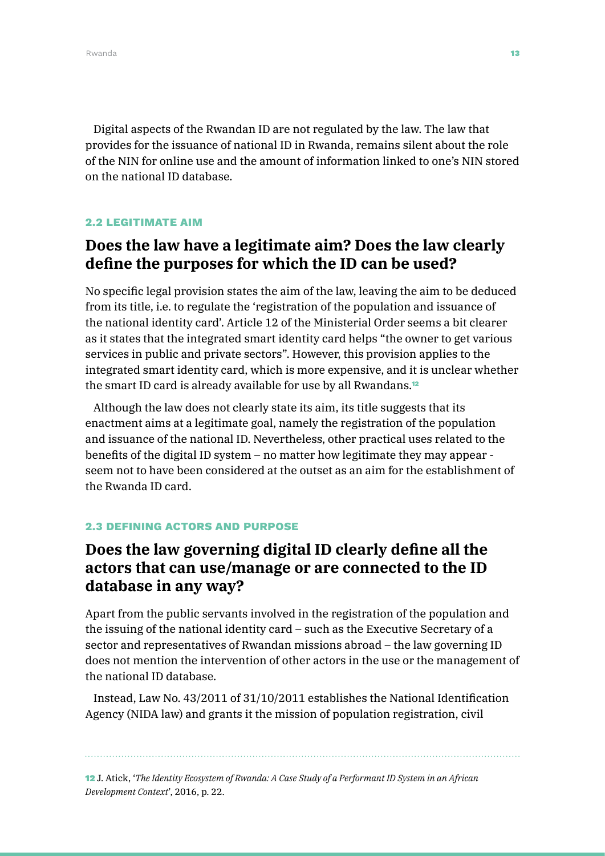Digital aspects of the Rwandan ID are not regulated by the law. The law that provides for the issuance of national ID in Rwanda, remains silent about the role of the NIN for online use and the amount of information linked to one's NIN stored on the national ID database.

### 2.2 LEGITIMATE AIM

# **Does the law have a legitimate aim? Does the law clearly define the purposes for which the ID can be used?**

No specific legal provision states the aim of the law, leaving the aim to be deduced from its title, i.e. to regulate the 'registration of the population and issuance of the national identity card'. Article 12 of the Ministerial Order seems a bit clearer as it states that the integrated smart identity card helps "the owner to get various services in public and private sectors". However, this provision applies to the integrated smart identity card, which is more expensive, and it is unclear whether the smart ID card is already available for use by all Rwandans.<sup>12</sup>

Although the law does not clearly state its aim, its title suggests that its enactment aims at a legitimate goal, namely the registration of the population and issuance of the national ID. Nevertheless, other practical uses related to the benefits of the digital ID system – no matter how legitimate they may appear seem not to have been considered at the outset as an aim for the establishment of the Rwanda ID card.

### 2.3 DEFINING ACTORS AND PURPOSE

# **Does the law governing digital ID clearly define all the actors that can use/manage or are connected to the ID database in any way?**

Apart from the public servants involved in the registration of the population and the issuing of the national identity card – such as the Executive Secretary of a sector and representatives of Rwandan missions abroad – the law governing ID does not mention the intervention of other actors in the use or the management of the national ID database.

Instead, Law No. 43/2011 of 31/10/2011 establishes the National Identification Agency (NIDA law) and grants it the mission of population registration, civil

12 J. Atick, '*The Identity Ecosystem of Rwanda: A Case Study of a Performant ID System in an African Development Context*', 2016, p. 22.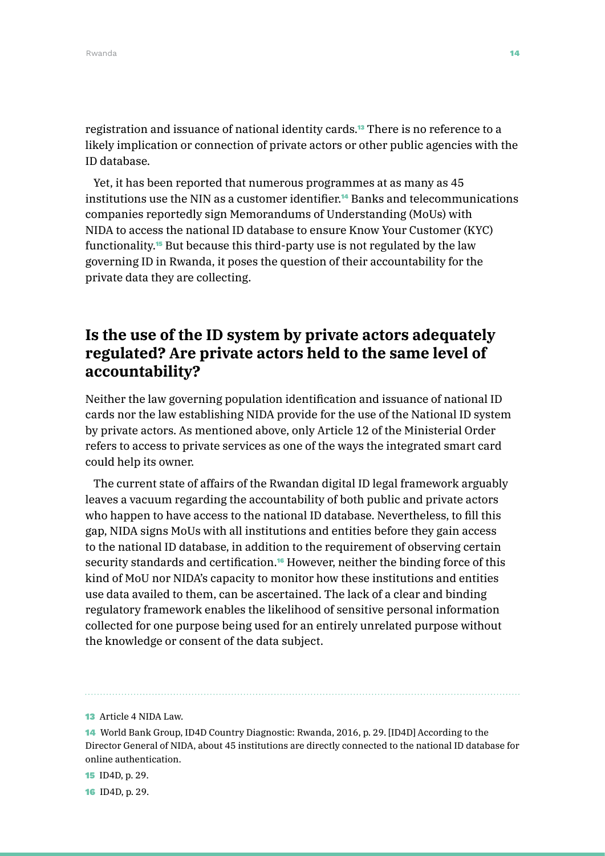registration and issuance of national identity cards.13 There is no reference to a likely implication or connection of private actors or other public agencies with the ID database.

Yet, it has been reported that numerous programmes at as many as 45 institutions use the NIN as a customer identifier.<sup>14</sup> Banks and telecommunications companies reportedly sign Memorandums of Understanding (MoUs) with NIDA to access the national ID database to ensure Know Your Customer (KYC) functionality.15 But because this third-party use is not regulated by the law governing ID in Rwanda, it poses the question of their accountability for the private data they are collecting.

# **Is the use of the ID system by private actors adequately regulated? Are private actors held to the same level of accountability?**

Neither the law governing population identification and issuance of national ID cards nor the law establishing NIDA provide for the use of the National ID system by private actors. As mentioned above, only Article 12 of the Ministerial Order refers to access to private services as one of the ways the integrated smart card could help its owner.

The current state of affairs of the Rwandan digital ID legal framework arguably leaves a vacuum regarding the accountability of both public and private actors who happen to have access to the national ID database. Nevertheless, to fill this gap, NIDA signs MoUs with all institutions and entities before they gain access to the national ID database, in addition to the requirement of observing certain security standards and certification.<sup>16</sup> However, neither the binding force of this kind of MoU nor NIDA's capacity to monitor how these institutions and entities use data availed to them, can be ascertained. The lack of a clear and binding regulatory framework enables the likelihood of sensitive personal information collected for one purpose being used for an entirely unrelated purpose without the knowledge or consent of the data subject.

15 ID4D, p. 29.

16 ID4D, p. 29.

<sup>13</sup> Article 4 NIDA Law.

<sup>14</sup> World Bank Group, ID4D Country Diagnostic: Rwanda, 2016, p. 29. [ID4D] According to the Director General of NIDA, about 45 institutions are directly connected to the national ID database for online authentication.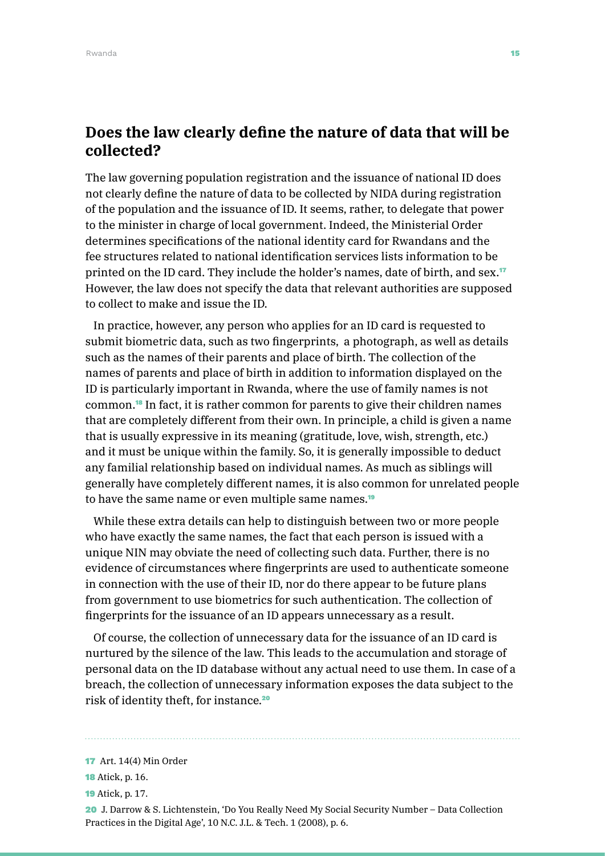## **Does the law clearly define the nature of data that will be collected?**

The law governing population registration and the issuance of national ID does not clearly define the nature of data to be collected by NIDA during registration of the population and the issuance of ID. It seems, rather, to delegate that power to the minister in charge of local government. Indeed, the Ministerial Order determines specifications of the national identity card for Rwandans and the fee structures related to national identification services lists information to be printed on the ID card. They include the holder's names, date of birth, and sex.<sup>17</sup> However, the law does not specify the data that relevant authorities are supposed to collect to make and issue the ID.

In practice, however, any person who applies for an ID card is requested to submit biometric data, such as two fingerprints, a photograph, as well as details such as the names of their parents and place of birth. The collection of the names of parents and place of birth in addition to information displayed on the ID is particularly important in Rwanda, where the use of family names is not common.18 In fact, it is rather common for parents to give their children names that are completely different from their own. In principle, a child is given a name that is usually expressive in its meaning (gratitude, love, wish, strength, etc.) and it must be unique within the family. So, it is generally impossible to deduct any familial relationship based on individual names. As much as siblings will generally have completely different names, it is also common for unrelated people to have the same name or even multiple same names.<sup>19</sup>

While these extra details can help to distinguish between two or more people who have exactly the same names, the fact that each person is issued with a unique NIN may obviate the need of collecting such data. Further, there is no evidence of circumstances where fingerprints are used to authenticate someone in connection with the use of their ID, nor do there appear to be future plans from government to use biometrics for such authentication. The collection of fingerprints for the issuance of an ID appears unnecessary as a result.

Of course, the collection of unnecessary data for the issuance of an ID card is nurtured by the silence of the law. This leads to the accumulation and storage of personal data on the ID database without any actual need to use them. In case of a breach, the collection of unnecessary information exposes the data subject to the risk of identity theft, for instance.<sup>20</sup>

20 J. Darrow & S. Lichtenstein, 'Do You Really Need My Social Security Number – Data Collection Practices in the Digital Age', 10 N.C. J.L. & Tech. 1 (2008), p. 6.

<sup>17</sup> Art. 14(4) Min Order

**<sup>18</sup>** Atick, p. 16.

<sup>19</sup> Atick, p. 17.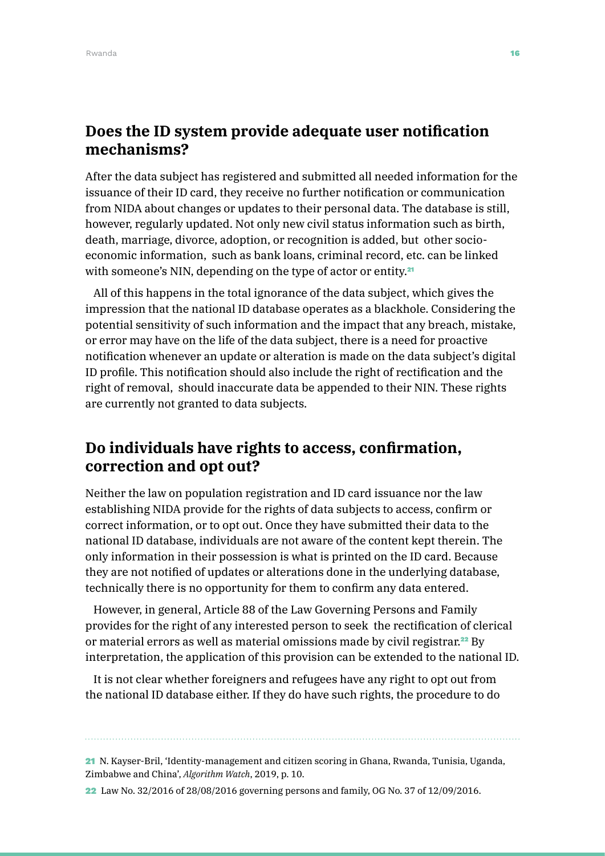## **Does the ID system provide adequate user notification mechanisms?**

After the data subject has registered and submitted all needed information for the issuance of their ID card, they receive no further notification or communication from NIDA about changes or updates to their personal data. The database is still, however, regularly updated. Not only new civil status information such as birth, death, marriage, divorce, adoption, or recognition is added, but other socioeconomic information, such as bank loans, criminal record, etc. can be linked with someone's NIN, depending on the type of actor or entity.<sup>21</sup>

All of this happens in the total ignorance of the data subject, which gives the impression that the national ID database operates as a blackhole. Considering the potential sensitivity of such information and the impact that any breach, mistake, or error may have on the life of the data subject, there is a need for proactive notification whenever an update or alteration is made on the data subject's digital ID profile. This notification should also include the right of rectification and the right of removal, should inaccurate data be appended to their NIN. These rights are currently not granted to data subjects.

# **Do individuals have rights to access, confirmation, correction and opt out?**

Neither the law on population registration and ID card issuance nor the law establishing NIDA provide for the rights of data subjects to access, confirm or correct information, or to opt out. Once they have submitted their data to the national ID database, individuals are not aware of the content kept therein. The only information in their possession is what is printed on the ID card. Because they are not notified of updates or alterations done in the underlying database, technically there is no opportunity for them to confirm any data entered.

However, in general, Article 88 of the Law Governing Persons and Family provides for the right of any interested person to seek the rectification of clerical or material errors as well as material omissions made by civil registrar.<sup>22</sup> By interpretation, the application of this provision can be extended to the national ID.

It is not clear whether foreigners and refugees have any right to opt out from the national ID database either. If they do have such rights, the procedure to do

#### 21 N. Kayser-Bril, 'Identity-management and citizen scoring in Ghana, Rwanda, Tunisia, Uganda, Zimbabwe and China', *Algorithm Watch*, 2019, p. 10.

22 Law No. 32/2016 of 28/08/2016 governing persons and family, OG No. 37 of 12/09/2016.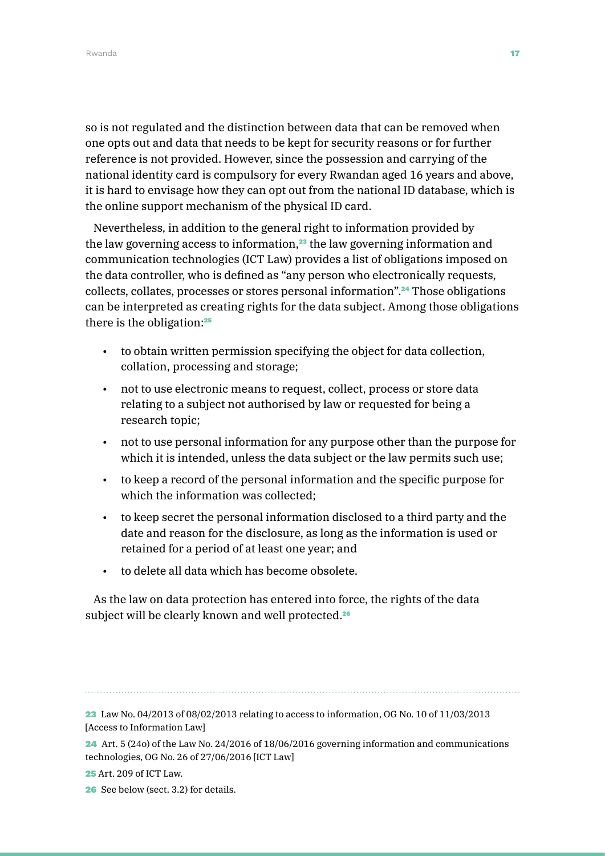so is not regulated and the distinction between data that can be removed when one opts out and data that needs to be kept for security reasons or for further reference is not provided. However, since the possession and carrying of the national identity card is compulsory for every Rwandan aged 16 years and above, it is hard to envisage how they can opt out from the national ID database, which is the online support mechanism of the physical ID card.

Nevertheless, in addition to the general right to information provided by the law governing access to information,<sup>23</sup> the law governing information and communication technologies (ICT Law) provides a list of obligations imposed on the data controller, who is defined as "any person who electronically requests, collects, collates, processes or stores personal information".24 Those obligations can be interpreted as creating rights for the data subject. Among those obligations there is the obligation:<sup>25</sup>

- to obtain written permission specifying the object for data collection, collation, processing and storage;
- not to use electronic means to request, collect, process or store data relating to a subject not authorised by law or requested for being a research topic;
- not to use personal information for any purpose other than the purpose for which it is intended, unless the data subject or the law permits such use;
- to keep a record of the personal information and the specific purpose for which the information was collected;
- to keep secret the personal information disclosed to a third party and the date and reason for the disclosure, as long as the information is used or retained for a period of at least one year; and
- to delete all data which has become obsolete.

As the law on data protection has entered into force, the rights of the data subject will be clearly known and well protected.<sup>26</sup>

<sup>23</sup> Law No. 04/2013 of 08/02/2013 relating to access to information, OG No. 10 of 11/03/2013 [Access to Information Law]

<sup>24</sup> Art. 5 (24o) of the Law No. 24/2016 of 18/06/2016 governing information and communications technologies, OG No. 26 of 27/06/2016 [ICT Law]

<sup>25</sup> Art. 209 of ICT Law.

<sup>26</sup> See below (sect. 3.2) for details.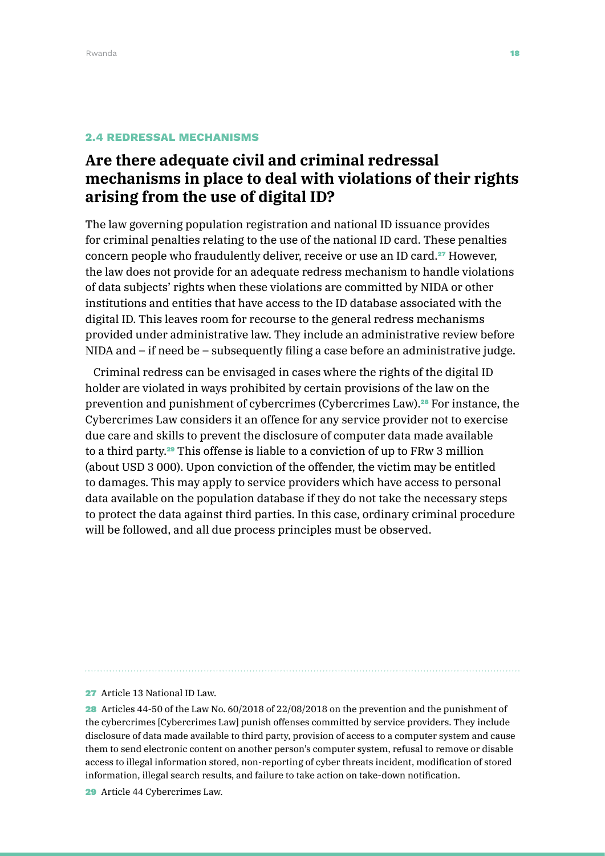#### 2.4 REDRESSAL MECHANISMS

# **Are there adequate civil and criminal redressal mechanisms in place to deal with violations of their rights arising from the use of digital ID?**

The law governing population registration and national ID issuance provides for criminal penalties relating to the use of the national ID card. These penalties concern people who fraudulently deliver, receive or use an ID card.<sup>27</sup> However, the law does not provide for an adequate redress mechanism to handle violations of data subjects' rights when these violations are committed by NIDA or other institutions and entities that have access to the ID database associated with the digital ID. This leaves room for recourse to the general redress mechanisms provided under administrative law. They include an administrative review before NIDA and – if need be – subsequently filing a case before an administrative judge.

Criminal redress can be envisaged in cases where the rights of the digital ID holder are violated in ways prohibited by certain provisions of the law on the prevention and punishment of cybercrimes (Cybercrimes Law).28 For instance, the Cybercrimes Law considers it an offence for any service provider not to exercise due care and skills to prevent the disclosure of computer data made available to a third party.29 This offense is liable to a conviction of up to FRw 3 million (about USD 3 000). Upon conviction of the offender, the victim may be entitled to damages. This may apply to service providers which have access to personal data available on the population database if they do not take the necessary steps to protect the data against third parties. In this case, ordinary criminal procedure will be followed, and all due process principles must be observed.

27 Article 13 National ID Law.

28 Articles 44-50 of the Law No. 60/2018 of 22/08/2018 on the prevention and the punishment of the cybercrimes [Cybercrimes Law] punish offenses committed by service providers. They include disclosure of data made available to third party, provision of access to a computer system and cause them to send electronic content on another person's computer system, refusal to remove or disable access to illegal information stored, non-reporting of cyber threats incident, modification of stored information, illegal search results, and failure to take action on take-down notification.

29 Article 44 Cybercrimes Law.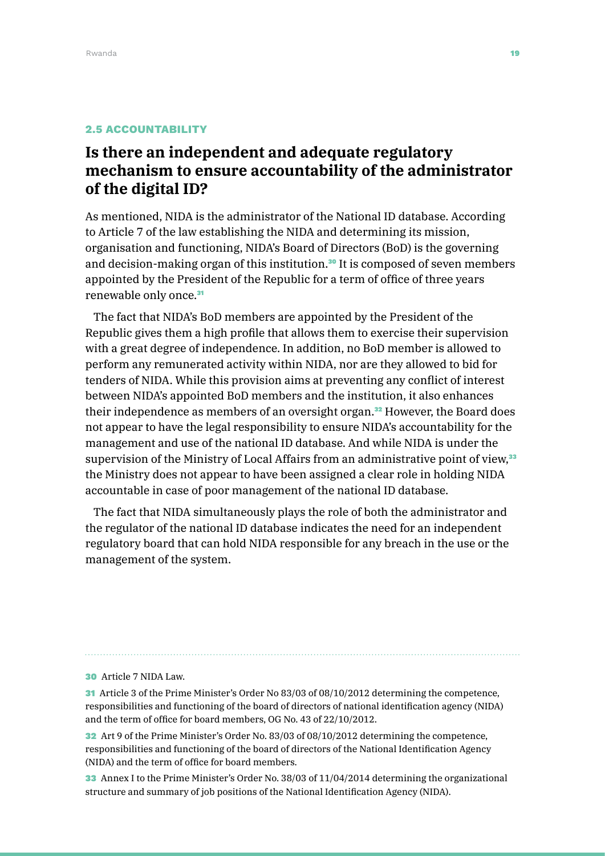### 2.5 ACCOUNTABILITY

# **Is there an independent and adequate regulatory mechanism to ensure accountability of the administrator of the digital ID?**

As mentioned, NIDA is the administrator of the National ID database. According to Article 7 of the law establishing the NIDA and determining its mission, organisation and functioning, NIDA's Board of Directors (BoD) is the governing and decision-making organ of this institution.<sup>30</sup> It is composed of seven members appointed by the President of the Republic for a term of office of three years renewable only once.<sup>31</sup>

The fact that NIDA's BoD members are appointed by the President of the Republic gives them a high profile that allows them to exercise their supervision with a great degree of independence. In addition, no BoD member is allowed to perform any remunerated activity within NIDA, nor are they allowed to bid for tenders of NIDA. While this provision aims at preventing any conflict of interest between NIDA's appointed BoD members and the institution, it also enhances their independence as members of an oversight organ.32 However, the Board does not appear to have the legal responsibility to ensure NIDA's accountability for the management and use of the national ID database. And while NIDA is under the supervision of the Ministry of Local Affairs from an administrative point of view,<sup>33</sup> the Ministry does not appear to have been assigned a clear role in holding NIDA accountable in case of poor management of the national ID database.

The fact that NIDA simultaneously plays the role of both the administrator and the regulator of the national ID database indicates the need for an independent regulatory board that can hold NIDA responsible for any breach in the use or the management of the system.

30 Article 7 NIDA Law.

31 Article 3 of the Prime Minister's Order No 83/03 of 08/10/2012 determining the competence, responsibilities and functioning of the board of directors of national identification agency (NIDA) and the term of office for board members, OG No. 43 of 22/10/2012.

32 Art 9 of the Prime Minister's Order No. 83/03 of 08/10/2012 determining the competence, responsibilities and functioning of the board of directors of the National Identification Agency (NIDA) and the term of office for board members.

33 Annex I to the Prime Minister's Order No. 38/03 of 11/04/2014 determining the organizational structure and summary of job positions of the National Identification Agency (NIDA).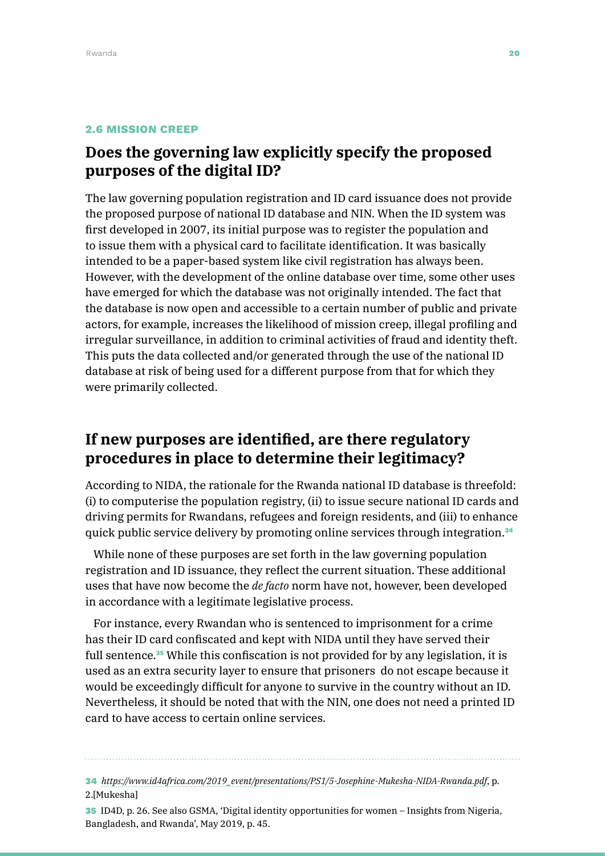### 2.6 MISSION CREEP

# **Does the governing law explicitly specify the proposed purposes of the digital ID?**

The law governing population registration and ID card issuance does not provide the proposed purpose of national ID database and NIN. When the ID system was first developed in 2007, its initial purpose was to register the population and to issue them with a physical card to facilitate identification. It was basically intended to be a paper-based system like civil registration has always been. However, with the development of the online database over time, some other uses have emerged for which the database was not originally intended. The fact that the database is now open and accessible to a certain number of public and private actors, for example, increases the likelihood of mission creep, illegal profiling and irregular surveillance, in addition to criminal activities of fraud and identity theft. This puts the data collected and/or generated through the use of the national ID database at risk of being used for a different purpose from that for which they were primarily collected.

## **If new purposes are identified, are there regulatory procedures in place to determine their legitimacy?**

According to NIDA, the rationale for the Rwanda national ID database is threefold: (i) to computerise the population registry, (ii) to issue secure national ID cards and driving permits for Rwandans, refugees and foreign residents, and (iii) to enhance quick public service delivery by promoting online services through integration.<sup>34</sup>

While none of these purposes are set forth in the law governing population registration and ID issuance, they reflect the current situation. These additional uses that have now become the *de facto* norm have not, however, been developed in accordance with a legitimate legislative process.

For instance, every Rwandan who is sentenced to imprisonment for a crime has their ID card confiscated and kept with NIDA until they have served their full sentence.<sup>35</sup> While this confiscation is not provided for by any legislation, it is used as an extra security layer to ensure that prisoners do not escape because it would be exceedingly difficult for anyone to survive in the country without an ID. Nevertheless, it should be noted that with the NIN, one does not need a printed ID card to have access to certain online services.

34 *[https://www.id4africa.com/2019\\_event/presentations/PS1/5-Josephine-Mukesha-NIDA-Rwanda.pdf](https://www.id4africa.com/2019_event/presentations/PS1/5-Josephine-Mukesha-NIDA-Rwanda.pdf)*, p. 2.[Mukesha]

35 ID4D, p. 26. See also GSMA, 'Digital identity opportunities for women – Insights from Nigeria, Bangladesh, and Rwanda', May 2019, p. 45.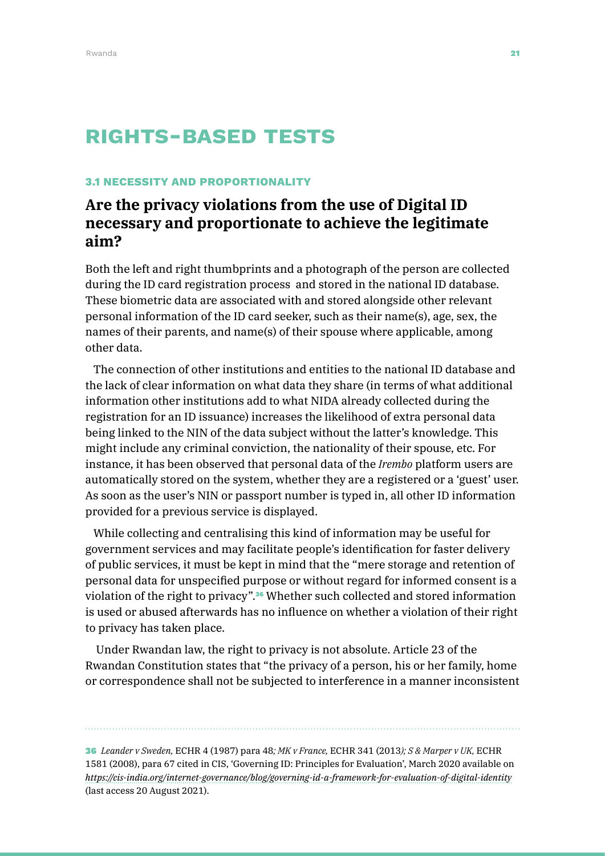# RIGHTS-BASED TESTS

#### 3.1 NECESSITY AND PROPORTIONALITY

# **Are the privacy violations from the use of Digital ID necessary and proportionate to achieve the legitimate aim?**

Both the left and right thumbprints and a photograph of the person are collected during the ID card registration process and stored in the national ID database. These biometric data are associated with and stored alongside other relevant personal information of the ID card seeker, such as their name(s), age, sex, the names of their parents, and name(s) of their spouse where applicable, among other data.

The connection of other institutions and entities to the national ID database and the lack of clear information on what data they share (in terms of what additional information other institutions add to what NIDA already collected during the registration for an ID issuance) increases the likelihood of extra personal data being linked to the NIN of the data subject without the latter's knowledge. This might include any criminal conviction, the nationality of their spouse, etc. For instance, it has been observed that personal data of the *Irembo* platform users are automatically stored on the system, whether they are a registered or a 'guest' user. As soon as the user's NIN or passport number is typed in, all other ID information provided for a previous service is displayed.

While collecting and centralising this kind of information may be useful for government services and may facilitate people's identification for faster delivery of public services, it must be kept in mind that the "mere storage and retention of personal data for unspecified purpose or without regard for informed consent is a violation of the right to privacy".<sup>36</sup> Whether such collected and stored information is used or abused afterwards has no influence on whether a violation of their right to privacy has taken place.

 Under Rwandan law, the right to privacy is not absolute. Article 23 of the Rwandan Constitution states that "the privacy of a person, his or her family, home or correspondence shall not be subjected to interference in a manner inconsistent

36 *Leander v Sweden,* ECHR 4 (1987) para 48*; MK v France,* ECHR 341 (2013*); S & Marper v UK,* ECHR 1581 (2008), para 67 cited in CIS, 'Governing ID: Principles for Evaluation', March 2020 available on *[https://cis-india.org/internet-governance/blog/governing-id-a-framework-for-evaluation-of-digital-identity](https://cis-india.org/internet-governance/blog/governing-id-a-framework-for-evaluation-of-digital-id)* (last access 20 August 2021).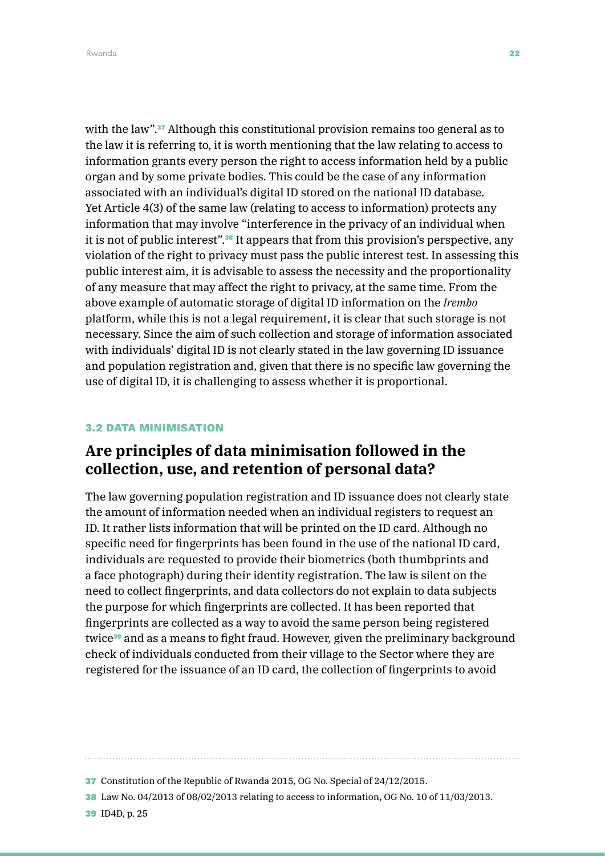with the law".<sup>37</sup> Although this constitutional provision remains too general as to the law it is referring to, it is worth mentioning that the law relating to access to information grants every person the right to access information held by a public organ and by some private bodies. This could be the case of any information associated with an individual's digital ID stored on the national ID database. Yet Article 4(3) of the same law (relating to access to information) protects any information that may involve "interference in the privacy of an individual when it is not of public interest".38 It appears that from this provision's perspective, any violation of the right to privacy must pass the public interest test. In assessing this public interest aim, it is advisable to assess the necessity and the proportionality of any measure that may affect the right to privacy, at the same time. From the above example of automatic storage of digital ID information on the *Irembo* platform, while this is not a legal requirement, it is clear that such storage is not necessary. Since the aim of such collection and storage of information associated with individuals' digital ID is not clearly stated in the law governing ID issuance and population registration and, given that there is no specific law governing the use of digital ID, it is challenging to assess whether it is proportional.

### 3.2 DATA MINIMISATION

## **Are principles of data minimisation followed in the collection, use, and retention of personal data?**

The law governing population registration and ID issuance does not clearly state the amount of information needed when an individual registers to request an ID. It rather lists information that will be printed on the ID card. Although no specific need for fingerprints has been found in the use of the national ID card, individuals are requested to provide their biometrics (both thumbprints and a face photograph) during their identity registration. The law is silent on the need to collect fingerprints, and data collectors do not explain to data subjects the purpose for which fingerprints are collected. It has been reported that fingerprints are collected as a way to avoid the same person being registered twice<sup>39</sup> and as a means to fight fraud. However, given the preliminary background check of individuals conducted from their village to the Sector where they are registered for the issuance of an ID card, the collection of fingerprints to avoid

39 ID4D, p. 25

<sup>37</sup> Constitution of the Republic of Rwanda 2015, OG No. Special of 24/12/2015.

<sup>38</sup> Law No. 04/2013 of 08/02/2013 relating to access to information, OG No. 10 of 11/03/2013.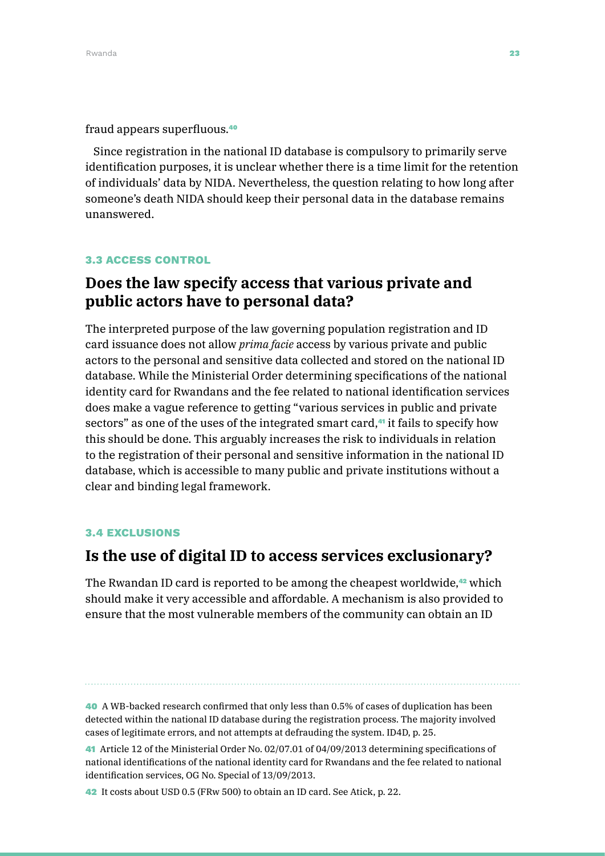#### fraud appears superfluous.<sup>40</sup>

Since registration in the national ID database is compulsory to primarily serve identification purposes, it is unclear whether there is a time limit for the retention of individuals' data by NIDA. Nevertheless, the question relating to how long after someone's death NIDA should keep their personal data in the database remains unanswered.

### 3.3 ACCESS CONTROL

# **Does the law specify access that various private and public actors have to personal data?**

The interpreted purpose of the law governing population registration and ID card issuance does not allow *prima facie* access by various private and public actors to the personal and sensitive data collected and stored on the national ID database. While the Ministerial Order determining specifications of the national identity card for Rwandans and the fee related to national identification services does make a vague reference to getting "various services in public and private sectors" as one of the uses of the integrated smart card,<sup>41</sup> it fails to specify how this should be done. This arguably increases the risk to individuals in relation to the registration of their personal and sensitive information in the national ID database, which is accessible to many public and private institutions without a clear and binding legal framework.

### 3.4 EXCLUSIONS

### **Is the use of digital ID to access services exclusionary?**

The Rwandan ID card is reported to be among the cheapest worldwide, $42$  which should make it very accessible and affordable. A mechanism is also provided to ensure that the most vulnerable members of the community can obtain an ID

40 A WB-backed research confirmed that only less than 0.5% of cases of duplication has been detected within the national ID database during the registration process. The majority involved cases of legitimate errors, and not attempts at defrauding the system. ID4D, p. 25.

<sup>41</sup> Article 12 of the Ministerial Order No. 02/07.01 of 04/09/2013 determining specifications of national identifications of the national identity card for Rwandans and the fee related to national identification services, OG No. Special of 13/09/2013.

<sup>42</sup> It costs about USD 0.5 (FRw 500) to obtain an ID card. See Atick, p. 22.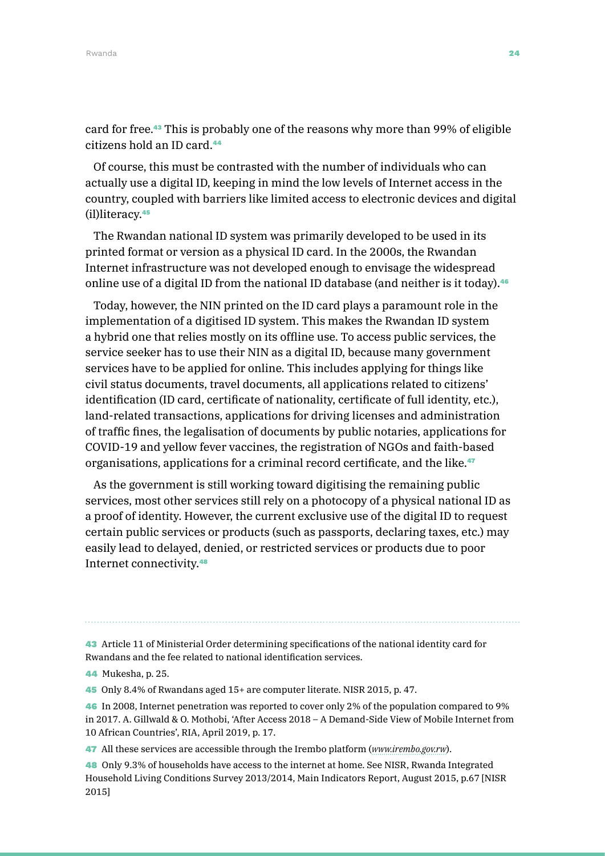Rwanda **24 Asia na katika 25 Asia na katika 26 Asia na katika 26 Asia na katika 26 Asia na katika 26 Asia na katika 26 Asia na katika 26 Asia na katika 26 Asia na katika 26 Asia na katika 27 Asia na katika 27 Asia na katik** 

card for free.43 This is probably one of the reasons why more than 99% of eligible citizens hold an ID card.<sup>44</sup>

Of course, this must be contrasted with the number of individuals who can actually use a digital ID, keeping in mind the low levels of Internet access in the country, coupled with barriers like limited access to electronic devices and digital (il)literacy.<sup>45</sup>

The Rwandan national ID system was primarily developed to be used in its printed format or version as a physical ID card. In the 2000s, the Rwandan Internet infrastructure was not developed enough to envisage the widespread online use of a digital ID from the national ID database (and neither is it today).<sup>46</sup>

Today, however, the NIN printed on the ID card plays a paramount role in the implementation of a digitised ID system. This makes the Rwandan ID system a hybrid one that relies mostly on its offline use. To access public services, the service seeker has to use their NIN as a digital ID, because many government services have to be applied for online. This includes applying for things like civil status documents, travel documents, all applications related to citizens' identification (ID card, certificate of nationality, certificate of full identity, etc.), land-related transactions, applications for driving licenses and administration of traffic fines, the legalisation of documents by public notaries, applications for COVID-19 and yellow fever vaccines, the registration of NGOs and faith-based organisations, applications for a criminal record certificate, and the like.<sup>47</sup>

As the government is still working toward digitising the remaining public services, most other services still rely on a photocopy of a physical national ID as a proof of identity. However, the current exclusive use of the digital ID to request certain public services or products (such as passports, declaring taxes, etc.) may easily lead to delayed, denied, or restricted services or products due to poor Internet connectivity.<sup>48</sup>

43 Article 11 of Ministerial Order determining specifications of the national identity card for Rwandans and the fee related to national identification services.

45 Only 8.4% of Rwandans aged 15+ are computer literate. NISR 2015, p. 47.

46 In 2008, Internet penetration was reported to cover only 2% of the population compared to 9% in 2017. A. Gillwald & O. Mothobi, 'After Access 2018 – A Demand-Side View of Mobile Internet from 10 African Countries', RIA, April 2019, p. 17.

47 All these services are accessible through the Irembo platform (*[www.irembo.gov.rw](http://www.irembo.gov.rw)*).

48 Only 9.3% of households have access to the internet at home. See NISR, Rwanda Integrated Household Living Conditions Survey 2013/2014, Main Indicators Report, August 2015, p.67 [NISR 2015]

<sup>44</sup> Mukesha, p. 25.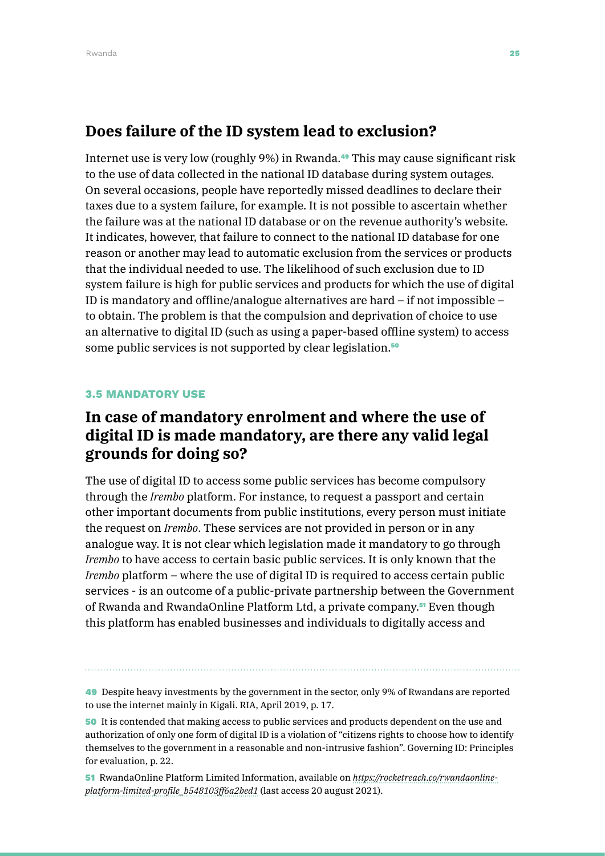### **Does failure of the ID system lead to exclusion?**

Internet use is very low (roughly 9%) in Rwanda.<sup>49</sup> This may cause significant risk to the use of data collected in the national ID database during system outages. On several occasions, people have reportedly missed deadlines to declare their taxes due to a system failure, for example. It is not possible to ascertain whether the failure was at the national ID database or on the revenue authority's website. It indicates, however, that failure to connect to the national ID database for one reason or another may lead to automatic exclusion from the services or products that the individual needed to use. The likelihood of such exclusion due to ID system failure is high for public services and products for which the use of digital ID is mandatory and offline/analogue alternatives are hard – if not impossible – to obtain. The problem is that the compulsion and deprivation of choice to use an alternative to digital ID (such as using a paper-based offline system) to access some public services is not supported by clear legislation.<sup>50</sup>

### 3.5 MANDATORY USE

# **In case of mandatory enrolment and where the use of digital ID is made mandatory, are there any valid legal grounds for doing so?**

The use of digital ID to access some public services has become compulsory through the *Irembo* platform. For instance, to request a passport and certain other important documents from public institutions, every person must initiate the request on *Irembo*. These services are not provided in person or in any analogue way. It is not clear which legislation made it mandatory to go through *Irembo* to have access to certain basic public services. It is only known that the *Irembo* platform – where the use of digital ID is required to access certain public services - is an outcome of a public-private partnership between the Government of Rwanda and RwandaOnline Platform Ltd, a private company.51 Even though this platform has enabled businesses and individuals to digitally access and

51 RwandaOnline Platform Limited Information, available on *[https://rocketreach.co/rwandaonline](https://rocketreach.co/rwandaonline-platform-limited-profile_b548103ff6a2bed1)[platform-limited-profile\\_b548103ff6a2bed1](https://rocketreach.co/rwandaonline-platform-limited-profile_b548103ff6a2bed1)* (last access 20 august 2021).

<sup>49</sup> Despite heavy investments by the government in the sector, only 9% of Rwandans are reported to use the internet mainly in Kigali. RIA, April 2019, p. 17.

<sup>50</sup> It is contended that making access to public services and products dependent on the use and authorization of only one form of digital ID is a violation of "citizens rights to choose how to identify themselves to the government in a reasonable and non-intrusive fashion". Governing ID: Principles for evaluation, p. 22.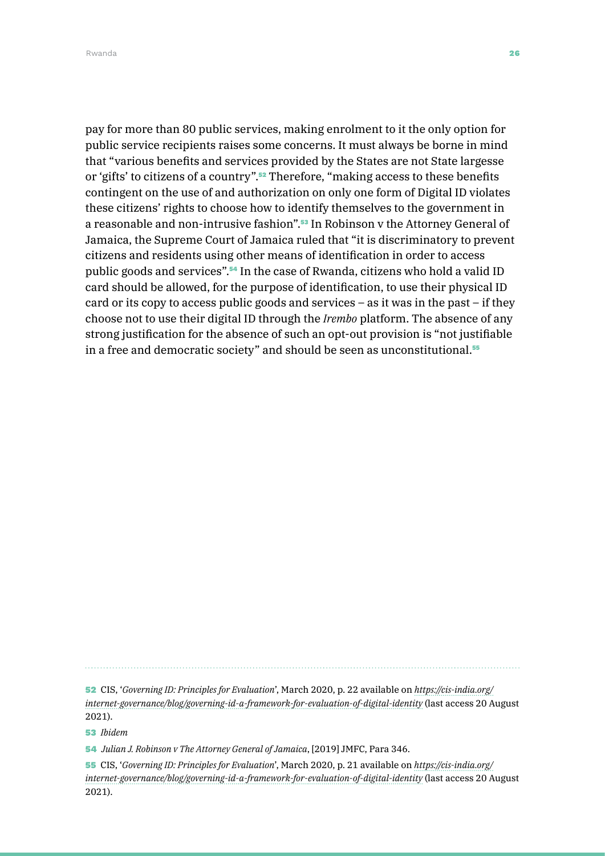Rwanda **26 August 200**8 - August 2008 - August 2008 - August 2008 - August 2008 - August 2008 - August 2008 - August 20

pay for more than 80 public services, making enrolment to it the only option for public service recipients raises some concerns. It must always be borne in mind that "various benefits and services provided by the States are not State largesse or 'gifts' to citizens of a country".<sup>52</sup> Therefore, "making access to these benefits contingent on the use of and authorization on only one form of Digital ID violates these citizens' rights to choose how to identify themselves to the government in a reasonable and non-intrusive fashion".53 In Robinson v the Attorney General of Jamaica, the Supreme Court of Jamaica ruled that "it is discriminatory to prevent citizens and residents using other means of identification in order to access public goods and services".54 In the case of Rwanda, citizens who hold a valid ID card should be allowed, for the purpose of identification, to use their physical ID card or its copy to access public goods and services – as it was in the past – if they choose not to use their digital ID through the *Irembo* platform. The absence of any strong justification for the absence of such an opt-out provision is "not justifiable in a free and democratic society" and should be seen as unconstitutional.<sup>55</sup>

52 CIS, '*Governing ID: Principles for Evaluation*', March 2020, p. 22 available on *[https://cis-india.org/](https://cis-india.org/internet-governance/blog/governing-id-a-framework-for-evaluation-of-digital-identity)*

*[internet-governance/blog/governing-id-a-framework-for-evaluation-of-digital-identity](https://cis-india.org/internet-governance/blog/governing-id-a-framework-for-evaluation-of-digital-identity)* (last access 20 August 2021).

53 *Ibidem*

54 *Julian J. Robinson v The Attorney General of Jamaica*, [2019] JMFC, Para 346.

55 CIS, '*Governing ID: Principles for Evaluation*', March 2020, p. 21 available on *[https://cis-india.org/](https://cis-india.org/internet-governance/blog/governing-id-a-framework-for-evaluation-of-digital-identity) [internet-governance/blog/governing-id-a-framework-for-evaluation-of-digital-identity](https://cis-india.org/internet-governance/blog/governing-id-a-framework-for-evaluation-of-digital-identity)* (last access 20 August 2021).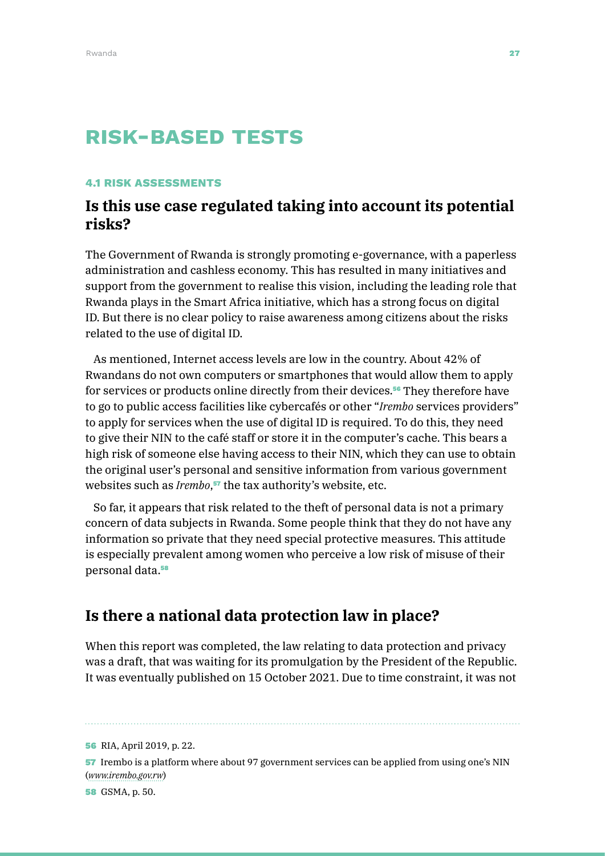# risk-BASED TESTS

### 4.1 RISK ASSESSMENTS

### **Is this use case regulated taking into account its potential risks?**

The Government of Rwanda is strongly promoting e-governance, with a paperless administration and cashless economy. This has resulted in many initiatives and support from the government to realise this vision, including the leading role that Rwanda plays in the Smart Africa initiative, which has a strong focus on digital ID. But there is no clear policy to raise awareness among citizens about the risks related to the use of digital ID.

As mentioned, Internet access levels are low in the country. About 42% of Rwandans do not own computers or smartphones that would allow them to apply for services or products online directly from their devices.<sup>56</sup> They therefore have to go to public access facilities like cybercafés or other "*Irembo* services providers" to apply for services when the use of digital ID is required. To do this, they need to give their NIN to the café staff or store it in the computer's cache. This bears a high risk of someone else having access to their NIN, which they can use to obtain the original user's personal and sensitive information from various government websites such as *Irembo*, <sup>57</sup> the tax authority's website, etc.

So far, it appears that risk related to the theft of personal data is not a primary concern of data subjects in Rwanda. Some people think that they do not have any information so private that they need special protective measures. This attitude is especially prevalent among women who perceive a low risk of misuse of their personal data.<sup>58</sup>

### **Is there a national data protection law in place?**

When this report was completed, the law relating to data protection and privacy was a draft, that was waiting for its promulgation by the President of the Republic. It was eventually published on 15 October 2021. Due to time constraint, it was not

56 RIA, April 2019, p. 22.

57 Irembo is a platform where about 97 government services can be applied from using one's NIN (*[www.irembo.gov.rw](http://www.irembo.gov.rw)*)

58 GSMA, p. 50.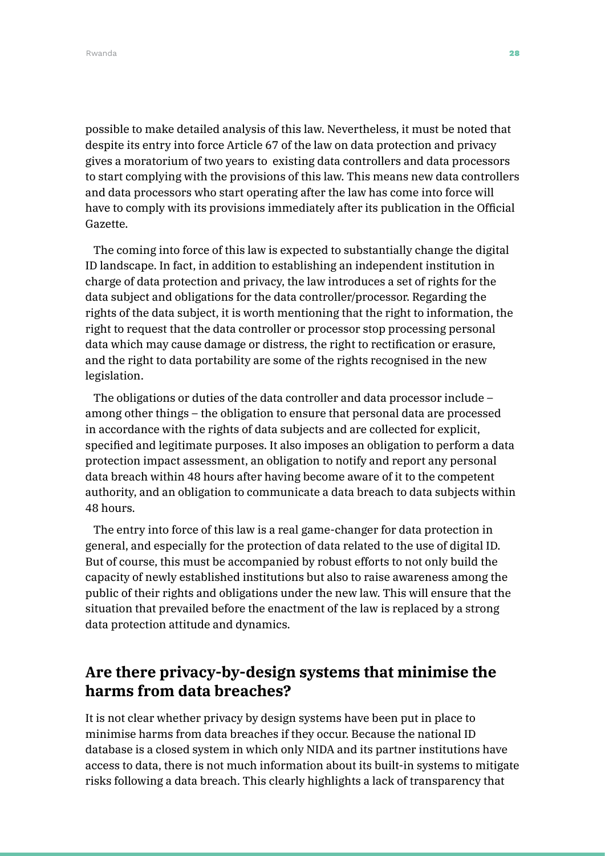Rwanda **28** Australia eta aldera eta aldera eta aldera eta aldera eta aldera eta aldera eta aldera eta aldera eta a

possible to make detailed analysis of this law. Nevertheless, it must be noted that despite its entry into force Article 67 of the law on data protection and privacy gives a moratorium of two years to existing data controllers and data processors to start complying with the provisions of this law. This means new data controllers and data processors who start operating after the law has come into force will have to comply with its provisions immediately after its publication in the Official Gazette.

The coming into force of this law is expected to substantially change the digital ID landscape. In fact, in addition to establishing an independent institution in charge of data protection and privacy, the law introduces a set of rights for the data subject and obligations for the data controller/processor. Regarding the rights of the data subject, it is worth mentioning that the right to information, the right to request that the data controller or processor stop processing personal data which may cause damage or distress, the right to rectification or erasure, and the right to data portability are some of the rights recognised in the new legislation.

The obligations or duties of the data controller and data processor include – among other things – the obligation to ensure that personal data are processed in accordance with the rights of data subjects and are collected for explicit, specified and legitimate purposes. It also imposes an obligation to perform a data protection impact assessment, an obligation to notify and report any personal data breach within 48 hours after having become aware of it to the competent authority, and an obligation to communicate a data breach to data subjects within 48 hours.

The entry into force of this law is a real game-changer for data protection in general, and especially for the protection of data related to the use of digital ID. But of course, this must be accompanied by robust efforts to not only build the capacity of newly established institutions but also to raise awareness among the public of their rights and obligations under the new law. This will ensure that the situation that prevailed before the enactment of the law is replaced by a strong data protection attitude and dynamics.

# **Are there privacy-by-design systems that minimise the harms from data breaches?**

It is not clear whether privacy by design systems have been put in place to minimise harms from data breaches if they occur. Because the national ID database is a closed system in which only NIDA and its partner institutions have access to data, there is not much information about its built-in systems to mitigate risks following a data breach. This clearly highlights a lack of transparency that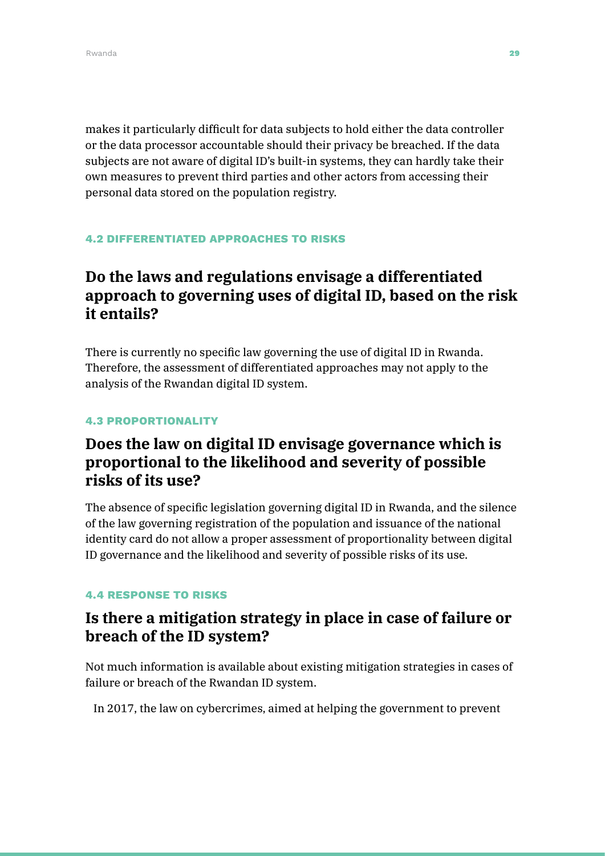makes it particularly difficult for data subjects to hold either the data controller or the data processor accountable should their privacy be breached. If the data subjects are not aware of digital ID's built-in systems, they can hardly take their own measures to prevent third parties and other actors from accessing their personal data stored on the population registry.

### 4.2 DIFFERENTIATED APPROACHES TO RISKS

# **Do the laws and regulations envisage a differentiated approach to governing uses of digital ID, based on the risk it entails?**

There is currently no specific law governing the use of digital ID in Rwanda. Therefore, the assessment of differentiated approaches may not apply to the analysis of the Rwandan digital ID system.

### 4.3 PROPORTIONALITY

# **Does the law on digital ID envisage governance which is proportional to the likelihood and severity of possible risks of its use?**

The absence of specific legislation governing digital ID in Rwanda, and the silence of the law governing registration of the population and issuance of the national identity card do not allow a proper assessment of proportionality between digital ID governance and the likelihood and severity of possible risks of its use.

### 4.4 RESPONSE TO RISKS

## **Is there a mitigation strategy in place in case of failure or breach of the ID system?**

Not much information is available about existing mitigation strategies in cases of failure or breach of the Rwandan ID system.

In 2017, the law on cybercrimes, aimed at helping the government to prevent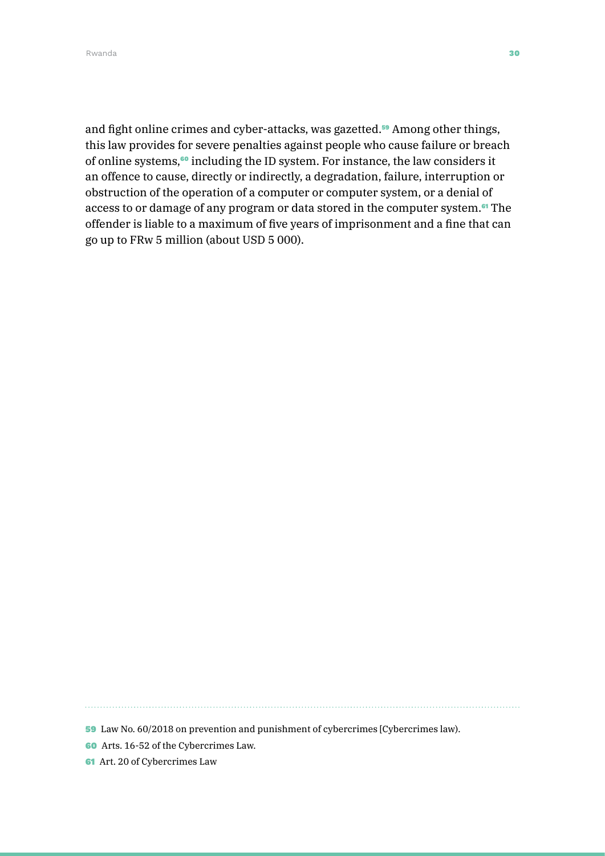and fight online crimes and cyber-attacks, was gazetted.<sup>59</sup> Among other things, this law provides for severe penalties against people who cause failure or breach of online systems,60 including the ID system. For instance, the law considers it an offence to cause, directly or indirectly, a degradation, failure, interruption or obstruction of the operation of a computer or computer system, or a denial of access to or damage of any program or data stored in the computer system.<sup>61</sup> The offender is liable to a maximum of five years of imprisonment and a fine that can go up to FRw 5 million (about USD 5 000).

59 Law No. 60/2018 on prevention and punishment of cybercrimes [Cybercrimes law).

60 Arts. 16-52 of the Cybercrimes Law.

61 Art. 20 of Cybercrimes Law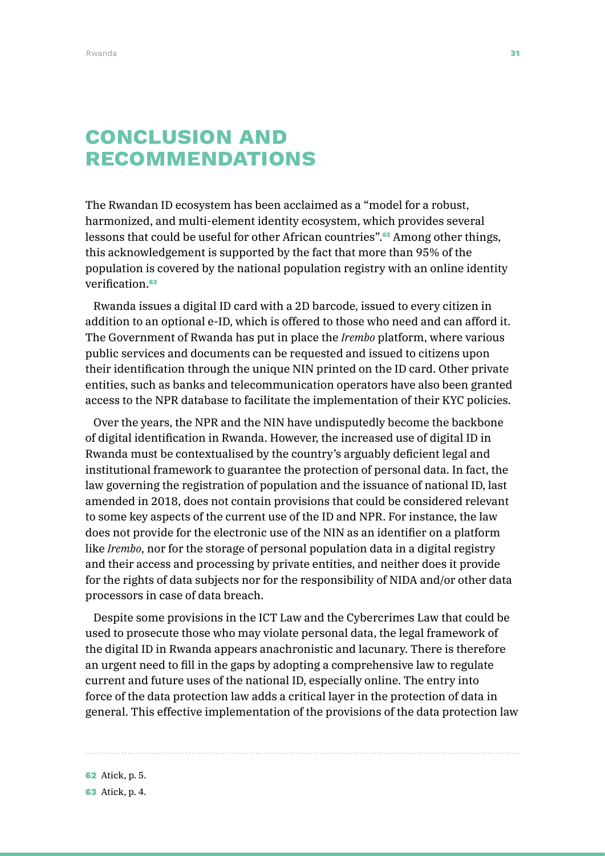# Conclusion and **RECOMMENDATIONS**

The Rwandan ID ecosystem has been acclaimed as a "model for a robust, harmonized, and multi-element identity ecosystem, which provides several lessons that could be useful for other African countries".62 Among other things, this acknowledgement is supported by the fact that more than 95% of the population is covered by the national population registry with an online identity verification.<sup>63</sup>

Rwanda issues a digital ID card with a 2D barcode, issued to every citizen in addition to an optional e-ID, which is offered to those who need and can afford it. The Government of Rwanda has put in place the *Irembo* platform, where various public services and documents can be requested and issued to citizens upon their identification through the unique NIN printed on the ID card. Other private entities, such as banks and telecommunication operators have also been granted access to the NPR database to facilitate the implementation of their KYC policies.

Over the years, the NPR and the NIN have undisputedly become the backbone of digital identification in Rwanda. However, the increased use of digital ID in Rwanda must be contextualised by the country's arguably deficient legal and institutional framework to guarantee the protection of personal data. In fact, the law governing the registration of population and the issuance of national ID, last amended in 2018, does not contain provisions that could be considered relevant to some key aspects of the current use of the ID and NPR. For instance, the law does not provide for the electronic use of the NIN as an identifier on a platform like *Irembo*, nor for the storage of personal population data in a digital registry and their access and processing by private entities, and neither does it provide for the rights of data subjects nor for the responsibility of NIDA and/or other data processors in case of data breach.

Despite some provisions in the ICT Law and the Cybercrimes Law that could be used to prosecute those who may violate personal data, the legal framework of the digital ID in Rwanda appears anachronistic and lacunary. There is therefore an urgent need to fill in the gaps by adopting a comprehensive law to regulate current and future uses of the national ID, especially online. The entry into force of the data protection law adds a critical layer in the protection of data in general. This effective implementation of the provisions of the data protection law

62 Atick, p. 5. 63 Atick, p. 4.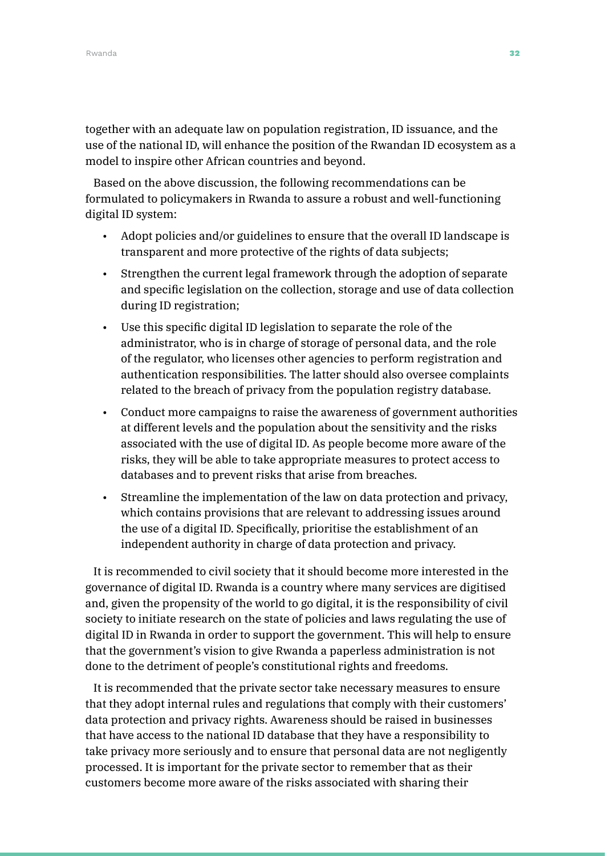together with an adequate law on population registration, ID issuance, and the use of the national ID, will enhance the position of the Rwandan ID ecosystem as a model to inspire other African countries and beyond.

Based on the above discussion, the following recommendations can be formulated to policymakers in Rwanda to assure a robust and well-functioning digital ID system:

- Adopt policies and/or guidelines to ensure that the overall ID landscape is transparent and more protective of the rights of data subjects;
- Strengthen the current legal framework through the adoption of separate and specific legislation on the collection, storage and use of data collection during ID registration;
- Use this specific digital ID legislation to separate the role of the administrator, who is in charge of storage of personal data, and the role of the regulator, who licenses other agencies to perform registration and authentication responsibilities. The latter should also oversee complaints related to the breach of privacy from the population registry database.
- Conduct more campaigns to raise the awareness of government authorities at different levels and the population about the sensitivity and the risks associated with the use of digital ID. As people become more aware of the risks, they will be able to take appropriate measures to protect access to databases and to prevent risks that arise from breaches.
- Streamline the implementation of the law on data protection and privacy, which contains provisions that are relevant to addressing issues around the use of a digital ID. Specifically, prioritise the establishment of an independent authority in charge of data protection and privacy.

It is recommended to civil society that it should become more interested in the governance of digital ID. Rwanda is a country where many services are digitised and, given the propensity of the world to go digital, it is the responsibility of civil society to initiate research on the state of policies and laws regulating the use of digital ID in Rwanda in order to support the government. This will help to ensure that the government's vision to give Rwanda a paperless administration is not done to the detriment of people's constitutional rights and freedoms.

It is recommended that the private sector take necessary measures to ensure that they adopt internal rules and regulations that comply with their customers' data protection and privacy rights. Awareness should be raised in businesses that have access to the national ID database that they have a responsibility to take privacy more seriously and to ensure that personal data are not negligently processed. It is important for the private sector to remember that as their customers become more aware of the risks associated with sharing their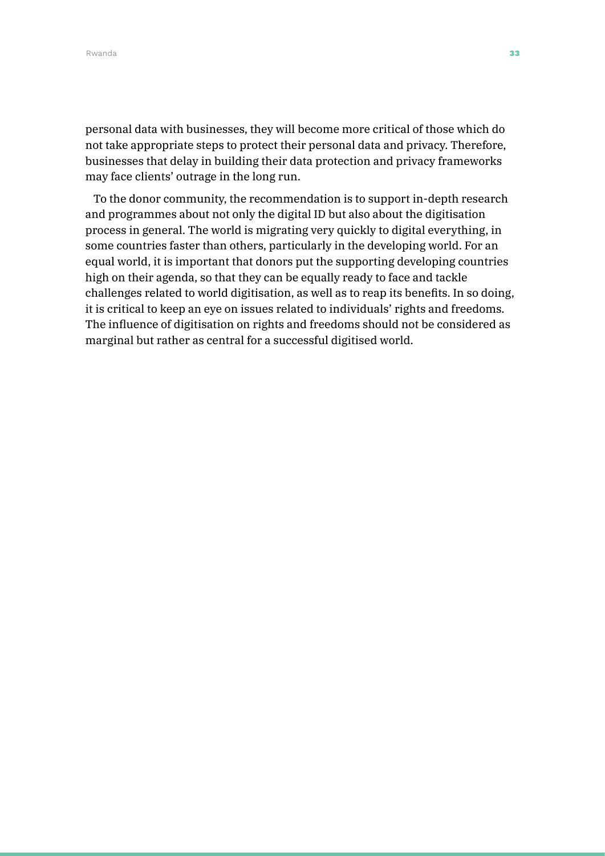personal data with businesses, they will become more critical of those which do not take appropriate steps to protect their personal data and privacy. Therefore, businesses that delay in building their data protection and privacy frameworks may face clients' outrage in the long run.

To the donor community, the recommendation is to support in-depth research and programmes about not only the digital ID but also about the digitisation process in general. The world is migrating very quickly to digital everything, in some countries faster than others, particularly in the developing world. For an equal world, it is important that donors put the supporting developing countries high on their agenda, so that they can be equally ready to face and tackle challenges related to world digitisation, as well as to reap its benefits. In so doing, it is critical to keep an eye on issues related to individuals' rights and freedoms. The influence of digitisation on rights and freedoms should not be considered as marginal but rather as central for a successful digitised world.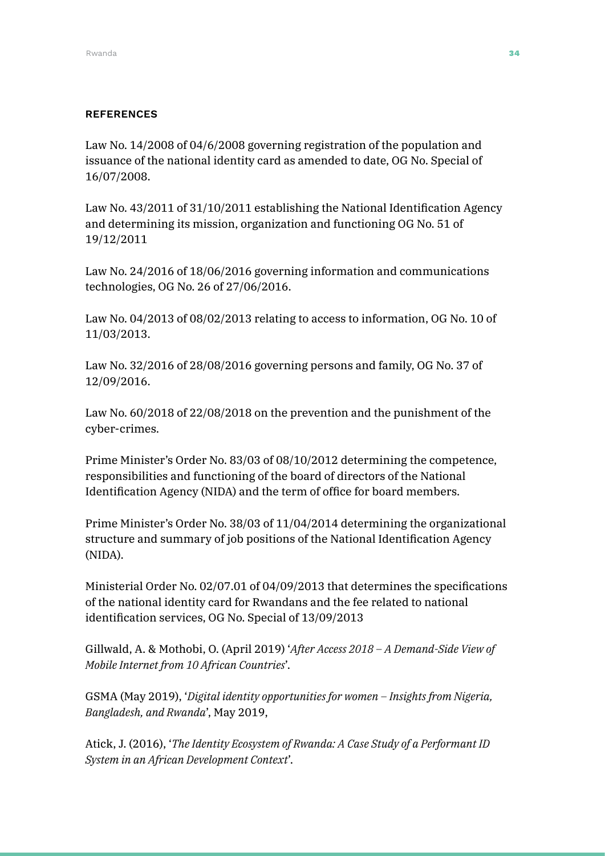### **REFERENCES**

Law No. 14/2008 of 04/6/2008 governing registration of the population and issuance of the national identity card as amended to date, OG No. Special of 16/07/2008.

Law No. 43/2011 of 31/10/2011 establishing the National Identification Agency and determining its mission, organization and functioning OG No. 51 of 19/12/2011

Law No. 24/2016 of 18/06/2016 governing information and communications technologies, OG No. 26 of 27/06/2016.

Law No. 04/2013 of 08/02/2013 relating to access to information, OG No. 10 of 11/03/2013.

Law No. 32/2016 of 28/08/2016 governing persons and family, OG No. 37 of 12/09/2016.

Law No. 60/2018 of 22/08/2018 on the prevention and the punishment of the cyber-crimes.

Prime Minister's Order No. 83/03 of 08/10/2012 determining the competence, responsibilities and functioning of the board of directors of the National Identification Agency (NIDA) and the term of office for board members.

Prime Minister's Order No. 38/03 of 11/04/2014 determining the organizational structure and summary of job positions of the National Identification Agency (NIDA).

Ministerial Order No. 02/07.01 of 04/09/2013 that determines the specifications of the national identity card for Rwandans and the fee related to national identification services, OG No. Special of 13/09/2013

Gillwald, A. & Mothobi, O. (April 2019) '*After Access 2018 – A Demand-Side View of Mobile Internet from 10 African Countries*'.

GSMA (May 2019), '*Digital identity opportunities for women – Insights from Nigeria, Bangladesh, and Rwanda*', May 2019,

Atick, J. (2016), '*The Identity Ecosystem of Rwanda: A Case Study of a Performant ID System in an African Development Context*'.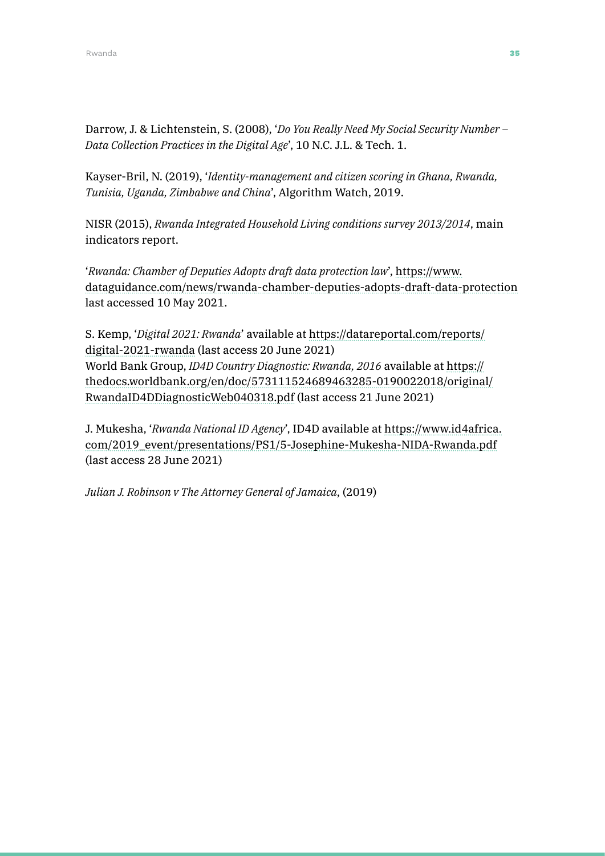Darrow, J. & Lichtenstein, S. (2008), '*Do You Really Need My Social Security Number – Data Collection Practices in the Digital Age*', 10 N.C. J.L. & Tech. 1.

Kayser-Bril, N. (2019), '*Identity-management and citizen scoring in Ghana, Rwanda, Tunisia, Uganda, Zimbabwe and China*', Algorithm Watch, 2019.

NISR (2015), *Rwanda Integrated Household Living conditions survey 2013/2014*, main indicators report.

'*Rwanda: Chamber of Deputies Adopts draft data protection law*', [https://www.](https://www.dataguidance.com/news/rwanda-chamber-deputies-adopts-draft-data-protection) [dataguidance.com/news/rwanda-chamber-deputies-adopts-draft-data-protection](https://www.dataguidance.com/news/rwanda-chamber-deputies-adopts-draft-data-protection) last accessed 10 May 2021.

S. Kemp, '*Digital 2021: Rwanda*' available at [https://datareportal.com/reports/](https://datareportal.com/reports/digital-2021-rwanda) [digital-2021-rwanda](https://datareportal.com/reports/digital-2021-rwanda) (last access 20 June 2021) World Bank Group, *ID4D Country Diagnostic: Rwanda, 2016* available at [https://](https://thedocs.worldbank.org/en/doc/573111524689463285-0190022018/original/RwandaID4DDiagnosticWeb0) [thedocs.worldbank.org/en/doc/573111524689463285-0190022018/original/](https://thedocs.worldbank.org/en/doc/573111524689463285-0190022018/original/RwandaID4DDiagnosticWeb0) [RwandaID4DDiagnosticWeb040318.pdf](https://thedocs.worldbank.org/en/doc/573111524689463285-0190022018/original/RwandaID4DDiagnosticWeb0) (last access 21 June 2021)

J. Mukesha, '*Rwanda National ID Agency*', ID4D available at [https://www.id4africa.](https://www.id4africa.com/2019_event/presentations/PS1/5-Josephine-Mukesha-NIDA-Rwanda.pdf) [com/2019\\_event/presentations/PS1/5-Josephine-Mukesha-NIDA-Rwanda.pdf](https://www.id4africa.com/2019_event/presentations/PS1/5-Josephine-Mukesha-NIDA-Rwanda.pdf) (last access 28 June 2021)

*Julian J. Robinson v The Attorney General of Jamaica*, (2019)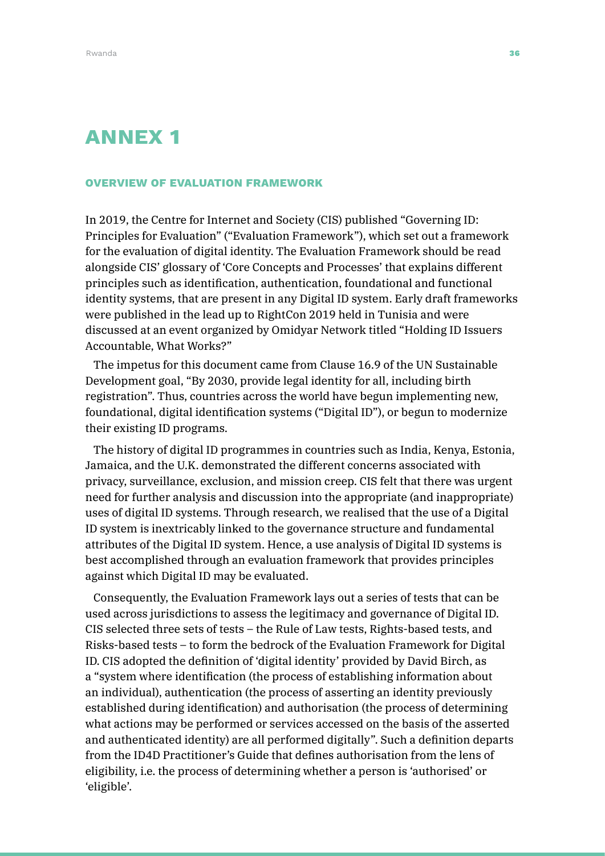# ANNEX 1

#### OVERVIEW OF EVALUATION FRAMEWORK

In 2019, the Centre for Internet and Society (CIS) published "Governing ID: Principles for Evaluation" ("Evaluation Framework"), which set out a framework for the evaluation of digital identity. The Evaluation Framework should be read alongside CIS' glossary of 'Core Concepts and Processes' that explains different principles such as identification, authentication, foundational and functional identity systems, that are present in any Digital ID system. Early draft frameworks were published in the lead up to RightCon 2019 held in Tunisia and were discussed at an event organized by Omidyar Network titled "Holding ID Issuers Accountable, What Works?"

The impetus for this document came from Clause 16.9 of the UN Sustainable Development goal, "By 2030, provide legal identity for all, including birth registration". Thus, countries across the world have begun implementing new, foundational, digital identification systems ("Digital ID"), or begun to modernize their existing ID programs.

The history of digital ID programmes in countries such as India, Kenya, Estonia, Jamaica, and the U.K. demonstrated the different concerns associated with privacy, surveillance, exclusion, and mission creep. CIS felt that there was urgent need for further analysis and discussion into the appropriate (and inappropriate) uses of digital ID systems. Through research, we realised that the use of a Digital ID system is inextricably linked to the governance structure and fundamental attributes of the Digital ID system. Hence, a use analysis of Digital ID systems is best accomplished through an evaluation framework that provides principles against which Digital ID may be evaluated.

Consequently, the Evaluation Framework lays out a series of tests that can be used across jurisdictions to assess the legitimacy and governance of Digital ID. CIS selected three sets of tests – the Rule of Law tests, Rights-based tests, and Risks-based tests – to form the bedrock of the Evaluation Framework for Digital ID. CIS adopted the definition of 'digital identity' provided by David Birch, as a "system where identification (the process of establishing information about an individual), authentication (the process of asserting an identity previously established during identification) and authorisation (the process of determining what actions may be performed or services accessed on the basis of the asserted and authenticated identity) are all performed digitally". Such a definition departs from the ID4D Practitioner's Guide that defines authorisation from the lens of eligibility, i.e. the process of determining whether a person is 'authorised' or 'eligible'.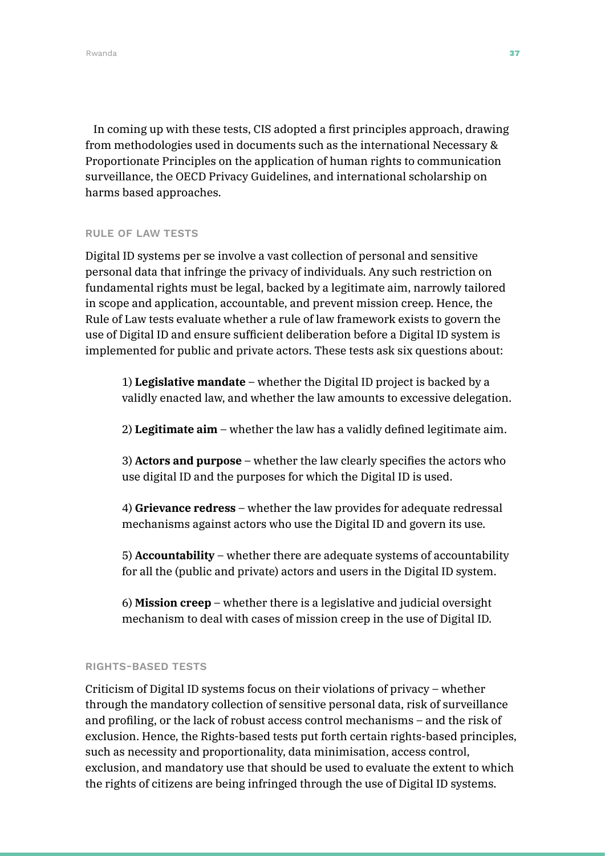In coming up with these tests, CIS adopted a first principles approach, drawing from methodologies used in documents such as the international Necessary & Proportionate Principles on the application of human rights to communication surveillance, the OECD Privacy Guidelines, and international scholarship on harms based approaches.

#### RULE OF LAW TESTS

Digital ID systems per se involve a vast collection of personal and sensitive personal data that infringe the privacy of individuals. Any such restriction on fundamental rights must be legal, backed by a legitimate aim, narrowly tailored in scope and application, accountable, and prevent mission creep. Hence, the Rule of Law tests evaluate whether a rule of law framework exists to govern the use of Digital ID and ensure sufficient deliberation before a Digital ID system is implemented for public and private actors. These tests ask six questions about:

1) **Legislative mandate** – whether the Digital ID project is backed by a validly enacted law, and whether the law amounts to excessive delegation.

2) **Legitimate aim** – whether the law has a validly defined legitimate aim.

3) **Actors and purpose** – whether the law clearly specifies the actors who use digital ID and the purposes for which the Digital ID is used.

4) **Grievance redress** – whether the law provides for adequate redressal mechanisms against actors who use the Digital ID and govern its use.

5) **Accountability** – whether there are adequate systems of accountability for all the (public and private) actors and users in the Digital ID system.

6) **Mission creep** – whether there is a legislative and judicial oversight mechanism to deal with cases of mission creep in the use of Digital ID.

#### RIGHTS-BASED TESTS

Criticism of Digital ID systems focus on their violations of privacy – whether through the mandatory collection of sensitive personal data, risk of surveillance and profiling, or the lack of robust access control mechanisms – and the risk of exclusion. Hence, the Rights-based tests put forth certain rights-based principles, such as necessity and proportionality, data minimisation, access control, exclusion, and mandatory use that should be used to evaluate the extent to which the rights of citizens are being infringed through the use of Digital ID systems.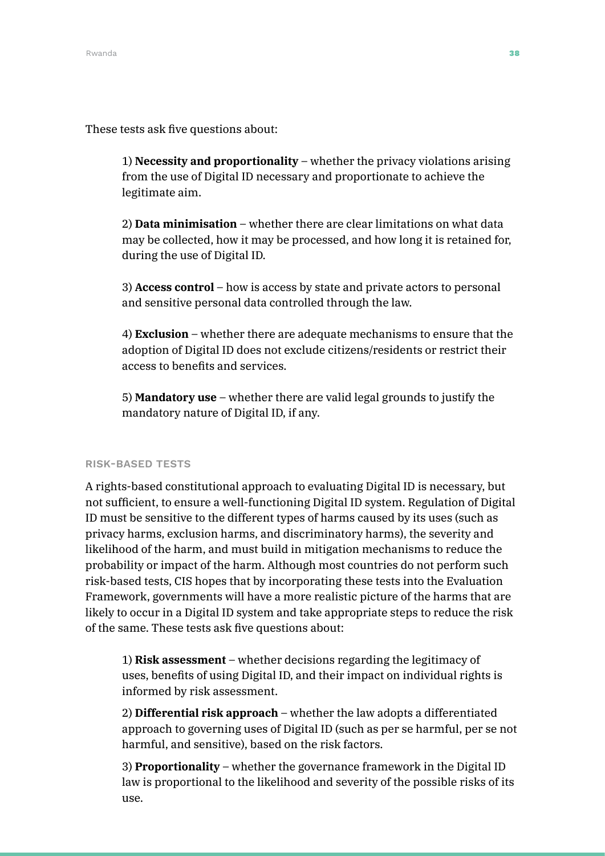These tests ask five questions about:

1) **Necessity and proportionality** – whether the privacy violations arising from the use of Digital ID necessary and proportionate to achieve the legitimate aim.

2) **Data minimisation** – whether there are clear limitations on what data may be collected, how it may be processed, and how long it is retained for, during the use of Digital ID.

3) **Access control** – how is access by state and private actors to personal and sensitive personal data controlled through the law.

4) **Exclusion** – whether there are adequate mechanisms to ensure that the adoption of Digital ID does not exclude citizens/residents or restrict their access to benefits and services.

5) **Mandatory use** – whether there are valid legal grounds to justify the mandatory nature of Digital ID, if any.

#### RISK-BASED TESTS

A rights-based constitutional approach to evaluating Digital ID is necessary, but not sufficient, to ensure a well-functioning Digital ID system. Regulation of Digital ID must be sensitive to the different types of harms caused by its uses (such as privacy harms, exclusion harms, and discriminatory harms), the severity and likelihood of the harm, and must build in mitigation mechanisms to reduce the probability or impact of the harm. Although most countries do not perform such risk-based tests, CIS hopes that by incorporating these tests into the Evaluation Framework, governments will have a more realistic picture of the harms that are likely to occur in a Digital ID system and take appropriate steps to reduce the risk of the same. These tests ask five questions about:

1) **Risk assessment** – whether decisions regarding the legitimacy of uses, benefits of using Digital ID, and their impact on individual rights is informed by risk assessment.

2) **Differential risk approach** – whether the law adopts a differentiated approach to governing uses of Digital ID (such as per se harmful, per se not harmful, and sensitive), based on the risk factors.

3) **Proportionality** – whether the governance framework in the Digital ID law is proportional to the likelihood and severity of the possible risks of its use.